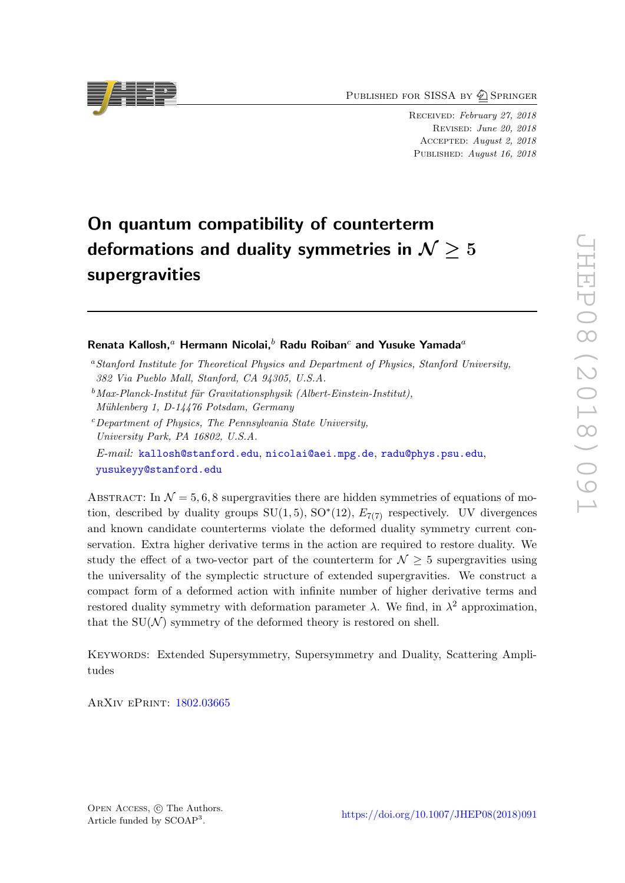PUBLISHED FOR SISSA BY 2 SPRINGER

Received: February 27, 2018 Revised: June 20, 2018 Accepted: August 2, 2018 PUBLISHED: August 16, 2018

# On quantum compatibility of counterterm deformations and duality symmetries in  $\mathcal{N} \geq 5$ supergravities

## Renata Kallosh,<sup>a</sup> Hermann Nicolai,<sup>b</sup> Radu Roiban<sup>c</sup> and Yusuke Yamada<sup>a</sup>

- <sup>a</sup>Stanford Institute for Theoretical Physics and Department of Physics, Stanford University, 382 Via Pueblo Mall, Stanford, CA 94305, U.S.A.
- $b$ Max-Planck-Institut für Gravitationsphysik (Albert-Einstein-Institut), Mühlenberg 1, D-14476 Potsdam, Germany

 $c$  Department of Physics, The Pennsylvania State University, University Park, PA 16802, U.S.A.

E-mail: [kallosh@stanford.edu](mailto:kallosh@stanford.edu), [nicolai@aei.mpg.de](mailto:nicolai@aei.mpg.de), [radu@phys.psu.edu](mailto:radu@phys.psu.edu), [yusukeyy@stanford.edu](mailto:yusukeyy@stanford.edu)

ABSTRACT: In  $\mathcal{N} = 5, 6, 8$  supergravities there are hidden symmetries of equations of motion, described by duality groups  $SU(1,5)$ ,  $SO<sup>*</sup>(12)$ ,  $E<sub>7(7)</sub>$  respectively. UV divergences and known candidate counterterms violate the deformed duality symmetry current conservation. Extra higher derivative terms in the action are required to restore duality. We study the effect of a two-vector part of the counterterm for  $\mathcal{N} \geq 5$  supergravities using the universality of the symplectic structure of extended supergravities. We construct a compact form of a deformed action with infinite number of higher derivative terms and restored duality symmetry with deformation parameter  $\lambda$ . We find, in  $\lambda^2$  approximation, that the  $SU(N)$  symmetry of the deformed theory is restored on shell.

Keywords: Extended Supersymmetry, Supersymmetry and Duality, Scattering Amplitudes

ArXiv ePrint: [1802.03665](https://arxiv.org/abs/1802.03665)

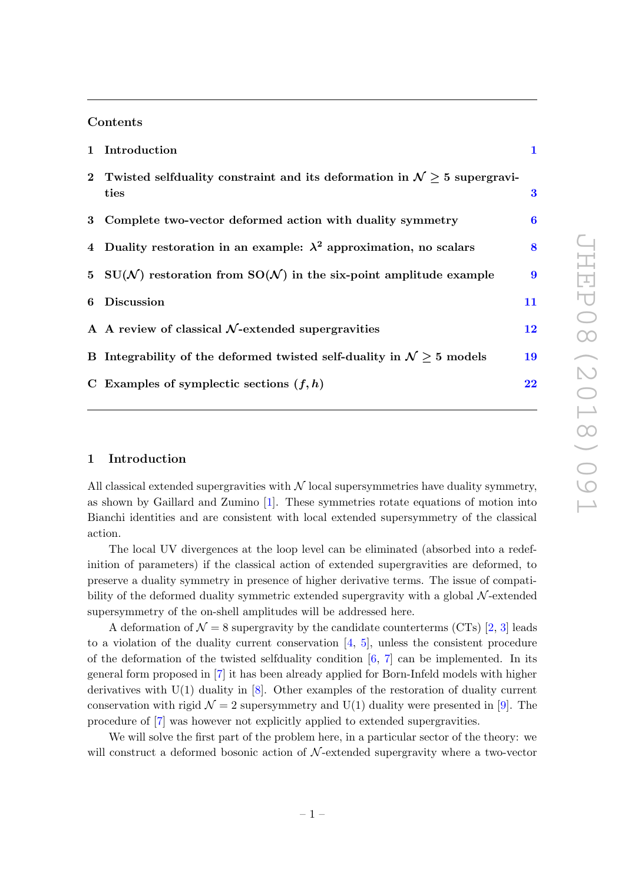#### Contents

|   | 1 Introduction                                                                                | $\mathbf{1}$     |
|---|-----------------------------------------------------------------------------------------------|------------------|
|   | 2 Twisted selfduality constraint and its deformation in $\mathcal{N} > 5$ supergravi-<br>ties | 3                |
|   | 3 Complete two-vector deformed action with duality symmetry                                   | $\bf{6}$         |
|   | 4 Duality restoration in an example: $\lambda^2$ approximation, no scalars                    | 8                |
|   | 5 SU(N) restoration from SO(N) in the six-point amplitude example                             | $\boldsymbol{9}$ |
| 6 | <b>Discussion</b>                                                                             | 11               |
|   | A A review of classical $N$ -extended supergravities                                          | $12\,$           |
|   | B Integrability of the deformed twisted self-duality in $\mathcal{N} > 5$ models              | 19               |
|   | C Examples of symplectic sections $(f, h)$                                                    | $22\,$           |

#### <span id="page-1-0"></span>1 Introduction

All classical extended supergravities with  $N$  local supersymmetries have duality symmetry, as shown by Gaillard and Zumino [\[1\]](#page-24-0). These symmetries rotate equations of motion into Bianchi identities and are consistent with local extended supersymmetry of the classical action.

The local UV divergences at the loop level can be eliminated (absorbed into a redefinition of parameters) if the classical action of extended supergravities are deformed, to preserve a duality symmetry in presence of higher derivative terms. The issue of compatibility of the deformed duality symmetric extended supergravity with a global N-extended supersymmetry of the on-shell amplitudes will be addressed here.

A deformation of  $\mathcal{N} = 8$  supergravity by the candidate counterterms (CTs) [\[2,](#page-24-1) [3\]](#page-24-2) leads to a violation of the duality current conservation  $[4, 5]$  $[4, 5]$ , unless the consistent procedure of the deformation of the twisted selfduality condition  $[6, 7]$  $[6, 7]$  can be implemented. In its general form proposed in [\[7\]](#page-24-6) it has been already applied for Born-Infeld models with higher derivatives with U(1) duality in [\[8\]](#page-24-7). Other examples of the restoration of duality current conservation with rigid  $\mathcal{N} = 2$  supersymmetry and U(1) duality were presented in [\[9\]](#page-24-8). The procedure of [\[7\]](#page-24-6) was however not explicitly applied to extended supergravities.

We will solve the first part of the problem here, in a particular sector of the theory: we will construct a deformed bosonic action of  $N$ -extended supergravity where a two-vector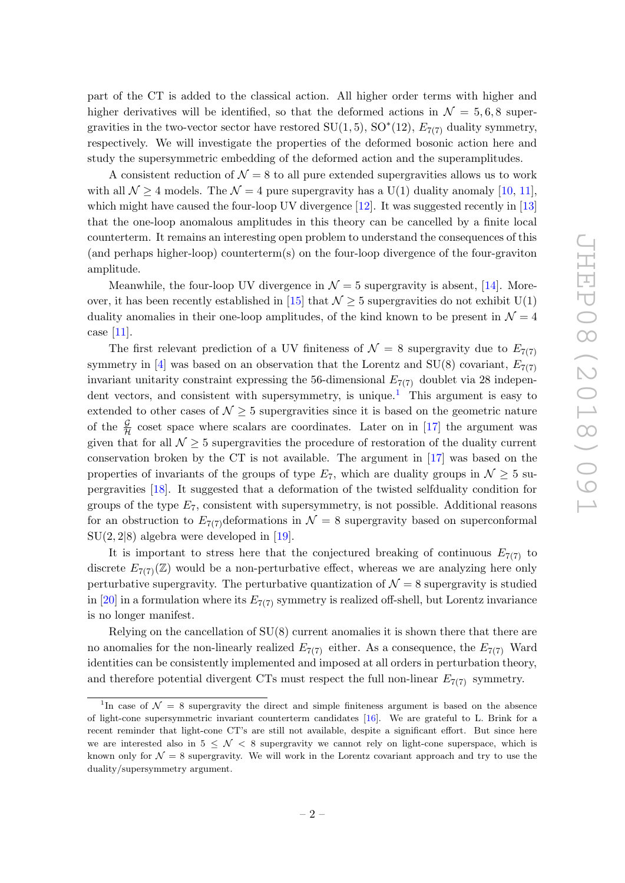part of the CT is added to the classical action. All higher order terms with higher and higher derivatives will be identified, so that the deformed actions in  $\mathcal{N} = 5, 6, 8$  supergravities in the two-vector sector have restored  $SU(1,5)$ ,  $SO<sup>*</sup>(12)$ ,  $E<sub>7(7)</sub>$  duality symmetry, respectively. We will investigate the properties of the deformed bosonic action here and study the supersymmetric embedding of the deformed action and the superamplitudes.

A consistent reduction of  $\mathcal{N} = 8$  to all pure extended supergravities allows us to work with all  $\mathcal{N} > 4$  models. The  $\mathcal{N} = 4$  pure supergravity has a U(1) duality anomaly [\[10,](#page-24-9) [11\]](#page-25-0). which might have caused the four-loop UV divergence  $[12]$ . It was suggested recently in  $[13]$ that the one-loop anomalous amplitudes in this theory can be cancelled by a finite local counterterm. It remains an interesting open problem to understand the consequences of this (and perhaps higher-loop) counterterm(s) on the four-loop divergence of the four-graviton amplitude.

Meanwhile, the four-loop UV divergence in  $\mathcal{N}=5$  supergravity is absent, [\[14\]](#page-25-3). More-over, it has been recently established in [\[15\]](#page-25-4) that  $\mathcal{N} \geq 5$  supergravities do not exhibit U(1) duality anomalies in their one-loop amplitudes, of the kind known to be present in  $\mathcal{N}=4$ case [\[11\]](#page-25-0).

The first relevant prediction of a UV finiteness of  $\mathcal{N} = 8$  supergravity due to  $E_{7(7)}$ symmetry in [\[4\]](#page-24-3) was based on an observation that the Lorentz and SU(8) covariant,  $E_{7(7)}$ invariant unitarity constraint expressing the 56-dimensional  $E_{7(7)}$  doublet via 28 indepen-dent vectors, and consistent with supersymmetry, is unique.<sup>[1](#page-2-0)</sup> This argument is easy to extended to other cases of  $\mathcal{N} \geq 5$  supergravities since it is based on the geometric nature of the  $\frac{\mathcal{G}}{\mathcal{H}}$  coset space where scalars are coordinates. Later on in [\[17\]](#page-25-5) the argument was given that for all  $\mathcal{N} \geq 5$  supergravities the procedure of restoration of the duality current conservation broken by the CT is not available. The argument in [\[17\]](#page-25-5) was based on the properties of invariants of the groups of type  $E_7$ , which are duality groups in  $\mathcal{N} \geq 5$  supergravities [\[18\]](#page-25-6). It suggested that a deformation of the twisted selfduality condition for groups of the type  $E_7$ , consistent with supersymmetry, is not possible. Additional reasons for an obstruction to  $E_{7(7)}$  deformations in  $\mathcal{N}=8$  supergravity based on superconformal  $SU(2, 2|8)$  algebra were developed in [\[19\]](#page-25-7).

It is important to stress here that the conjectured breaking of continuous  $E_{7(7)}$  to discrete  $E_{7(7)}(\mathbb{Z})$  would be a non-perturbative effect, whereas we are analyzing here only perturbative supergravity. The perturbative quantization of  $\mathcal{N} = 8$  supergravity is studied in [\[20\]](#page-25-8) in a formulation where its  $E_{7(7)}$  symmetry is realized off-shell, but Lorentz invariance is no longer manifest.

Relying on the cancellation of SU(8) current anomalies it is shown there that there are no anomalies for the non-linearly realized  $E_{7(7)}$  either. As a consequence, the  $E_{7(7)}$  Ward identities can be consistently implemented and imposed at all orders in perturbation theory, and therefore potential divergent CTs must respect the full non-linear  $E_{7(7)}$  symmetry.

<span id="page-2-0"></span><sup>&</sup>lt;sup>1</sup>In case of  $\mathcal{N} = 8$  supergravity the direct and simple finiteness argument is based on the absence of light-cone supersymmetric invariant counterterm candidates [\[16\]](#page-25-9). We are grateful to L. Brink for a recent reminder that light-cone CT's are still not available, despite a significant effort. But since here we are interested also in  $5 \leq \mathcal{N} < 8$  supergravity we cannot rely on light-cone superspace, which is known only for  $\mathcal{N} = 8$  supergravity. We will work in the Lorentz covariant approach and try to use the duality/supersymmetry argument.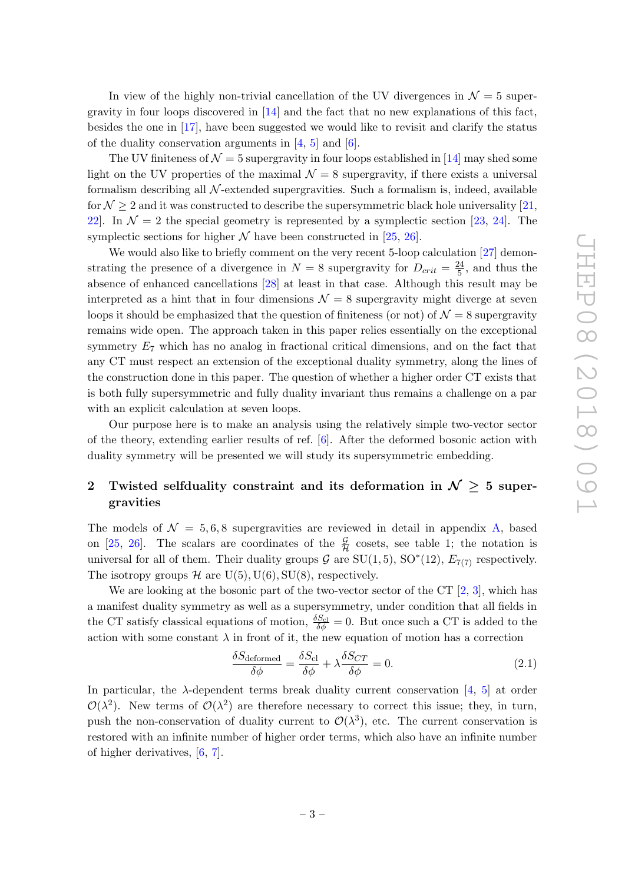In view of the highly non-trivial cancellation of the UV divergences in  $\mathcal{N}=5$  supergravity in four loops discovered in [\[14\]](#page-25-3) and the fact that no new explanations of this fact, besides the one in [\[17\]](#page-25-5), have been suggested we would like to revisit and clarify the status of the duality conservation arguments in  $[4, 5]$  $[4, 5]$  and  $[6]$ .

The UV finiteness of  $\mathcal{N} = 5$  supergravity in four loops established in [\[14\]](#page-25-3) may shed some light on the UV properties of the maximal  $\mathcal{N} = 8$  supergravity, if there exists a universal formalism describing all  $N$ -extended supergravities. Such a formalism is, indeed, available for  $\mathcal{N} \geq 2$  and it was constructed to describe the supersymmetric black hole universality [\[21,](#page-25-10) 22. In  $\mathcal{N} = 2$  the special geometry is represented by a symplectic section [\[23,](#page-25-12) [24\]](#page-25-13). The symplectic sections for higher  $N$  have been constructed in [\[25,](#page-25-14) [26\]](#page-25-15).

We would also like to briefly comment on the very recent 5-loop calculation [\[27\]](#page-25-16) demonstrating the presence of a divergence in  $N = 8$  supergravity for  $D_{crit} = \frac{24}{5}$  $\frac{24}{5}$ , and thus the absence of enhanced cancellations [\[28\]](#page-25-17) at least in that case. Although this result may be interpreted as a hint that in four dimensions  $\mathcal{N} = 8$  supergravity might diverge at seven loops it should be emphasized that the question of finiteness (or not) of  $\mathcal{N}=8$  supergravity remains wide open. The approach taken in this paper relies essentially on the exceptional symmetry  $E_7$  which has no analog in fractional critical dimensions, and on the fact that any CT must respect an extension of the exceptional duality symmetry, along the lines of the construction done in this paper. The question of whether a higher order CT exists that is both fully supersymmetric and fully duality invariant thus remains a challenge on a par with an explicit calculation at seven loops.

Our purpose here is to make an analysis using the relatively simple two-vector sector of the theory, extending earlier results of ref. [\[6\]](#page-24-5). After the deformed bosonic action with duality symmetry will be presented we will study its supersymmetric embedding.

## <span id="page-3-0"></span>2 Twisted selfduality constraint and its deformation in  $\mathcal{N} \geq 5$  supergravities

The models of  $\mathcal{N} = 5, 6, 8$  supergravities are reviewed in detail in appendix [A,](#page-12-0) based on [\[25,](#page-25-14) [26\]](#page-25-15). The scalars are coordinates of the  $\frac{\mathcal{G}}{\mathcal{H}}$  cosets, see table 1; the notation is universal for all of them. Their duality groups  $G$  are  $SU(1,5)$ ,  $SO^*(12)$ ,  $E_{7(7)}$  respectively. The isotropy groups  $H$  are U(5), U(6), SU(8), respectively.

We are looking at the bosonic part of the two-vector sector of the CT  $[2, 3]$  $[2, 3]$ , which has a manifest duality symmetry as well as a supersymmetry, under condition that all fields in the CT satisfy classical equations of motion,  $\frac{\delta S_{\text{cl}}}{\delta \phi} = 0$ . But once such a CT is added to the action with some constant  $\lambda$  in front of it, the new equation of motion has a correction

$$
\frac{\delta S_{\text{deformed}}}{\delta \phi} = \frac{\delta S_{\text{cl}}}{\delta \phi} + \lambda \frac{\delta S_{CT}}{\delta \phi} = 0. \tag{2.1}
$$

In particular, the  $\lambda$ -dependent terms break duality current conservation [\[4,](#page-24-3) [5\]](#page-24-4) at order  $\mathcal{O}(\lambda^2)$ . New terms of  $\mathcal{O}(\lambda^2)$  are therefore necessary to correct this issue; they, in turn, push the non-conservation of duality current to  $\mathcal{O}(\lambda^3)$ , etc. The current conservation is restored with an infinite number of higher order terms, which also have an infinite number of higher derivatives, [\[6,](#page-24-5) [7\]](#page-24-6).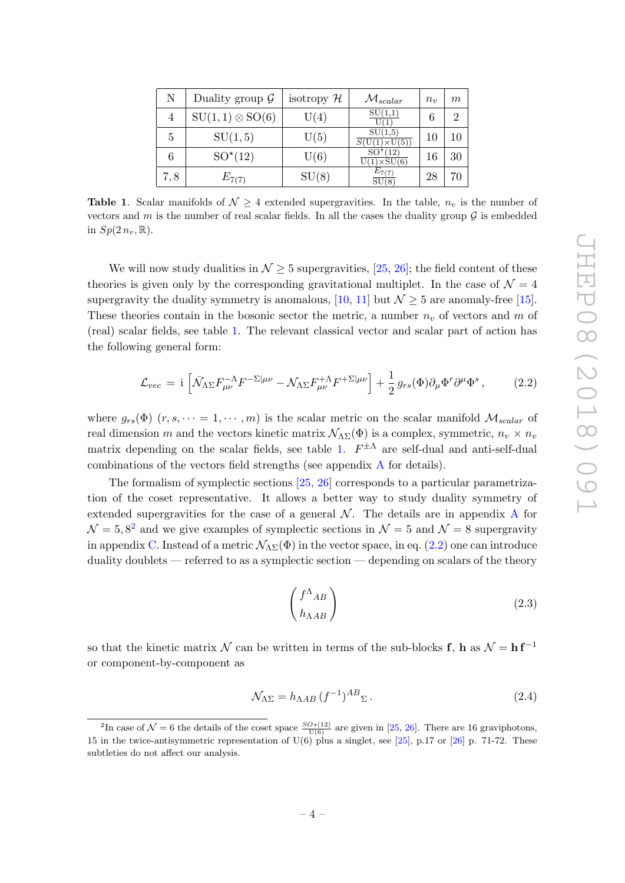| N   | Duality group $\mathcal G$ | isotropy $\mathcal H$ | $\mathcal{M}_{scalar}$                 | $n_{\eta}$ | $m\,$ |
|-----|----------------------------|-----------------------|----------------------------------------|------------|-------|
| 4   | $SU(1,1) \otimes SO(6)$    | U(4)                  | SU(1,1)                                | 6          | റ     |
| 5   | SU(1,5)                    | U(5)                  | SU(1,5)<br>$\times$ U(5))              | 10         | 10    |
| 6   | $SO^{\star}(12)$           | U(6)                  | $SO^{\star}(12)$<br>$U(1)\times SU(6)$ | 16         | 30    |
| 7,8 | $E_{7(7)}$                 | SU(8)                 | $E_{7(7)}$<br>SU(8)                    | 28         | 70    |

<span id="page-4-0"></span>**Table 1.** Scalar manifolds of  $N \geq 4$  extended supergravities. In the table,  $n<sub>v</sub>$  is the number of vectors and m is the number of real scalar fields. In all the cases the duality group  $\mathcal G$  is embedded in  $Sp(2n_v,\mathbb{R})$ .

We will now study dualities in  $\mathcal{N} \geq 5$  supergravities, [\[25,](#page-25-14) [26\]](#page-25-15); the field content of these theories is given only by the corresponding gravitational multiplet. In the case of  $\mathcal{N}=4$ supergravity the duality symmetry is anomalous, [\[10,](#page-24-9) [11\]](#page-25-0) but  $\mathcal{N} \geq 5$  are anomaly-free [\[15\]](#page-25-4). These theories contain in the bosonic sector the metric, a number  $n<sub>v</sub>$  of vectors and m of (real) scalar fields, see table [1.](#page-4-0) The relevant classical vector and scalar part of action has the following general form:

<span id="page-4-2"></span>
$$
\mathcal{L}_{vec} = i \left[ \bar{\mathcal{N}}_{\Lambda \Sigma} F^{-\Lambda}_{\mu\nu} F^{-\Sigma |\mu\nu} - \mathcal{N}_{\Lambda \Sigma} F^{+\Lambda}_{\mu\nu} F^{+\Sigma |\mu\nu} \right] + \frac{1}{2} g_{rs}(\Phi) \partial_{\mu} \Phi^r \partial^{\mu} \Phi^s , \qquad (2.2)
$$

where  $g_{rs}(\Phi)$   $(r, s, \dots = 1, \dots, m)$  is the scalar metric on the scalar manifold  $\mathcal{M}_{scalar}$  of real dimension m and the vectors kinetic matrix  $\mathcal{N}_{\Lambda\Sigma}(\Phi)$  is a complex, symmetric,  $n_v \times n_v$ matrix depending on the scalar fields, see table [1.](#page-4-0)  $F^{\pm\Lambda}$  are self-dual and anti-self-dual combinations of the vectors field strengths (see appendix [A](#page-12-0) for details).

The formalism of symplectic sections [\[25,](#page-25-14) [26\]](#page-25-15) corresponds to a particular parametrization of the coset representative. It allows a better way to study duality symmetry of extended supergravities for the case of a general  $\mathcal N$ . The details are in appendix [A](#page-12-0) for  $\mathcal{N} = 5, 8^2$  $\mathcal{N} = 5, 8^2$  and we give examples of symplectic sections in  $\mathcal{N} = 5$  and  $\mathcal{N} = 8$  supergravity in appendix [C.](#page-22-0) Instead of a metric  $\mathcal{N}_{\Delta\Sigma}(\Phi)$  in the vector space, in eq. [\(2.2\)](#page-4-2) one can introduce duality doublets — referred to as a symplectic section — depending on scalars of the theory

$$
\begin{pmatrix} f^{\Lambda}{}_{AB} \\ h_{\Lambda AB} \end{pmatrix} \tag{2.3}
$$

so that the kinetic matrix N can be written in terms of the sub-blocks f, h as  $\mathcal{N} = h f^{-1}$ or component-by-component as

$$
\mathcal{N}_{\Lambda\Sigma} = h_{\Lambda AB} \left( f^{-1} \right)^{AB}{}_{\Sigma} \,. \tag{2.4}
$$

<span id="page-4-1"></span><sup>&</sup>lt;sup>2</sup>In case of  $\mathcal{N}=6$  the details of the coset space  $\frac{SO*(12)}{\mathrm{U}(6)}$  are given in [\[25,](#page-25-14) [26\]](#page-25-15). There are 16 graviphotons, 15 in the twice-antisymmetric representation of  $U(6)$  plus a singlet, see [\[25\]](#page-25-14), p.17 or [\[26\]](#page-25-15) p. 71-72. These subtleties do not affect our analysis.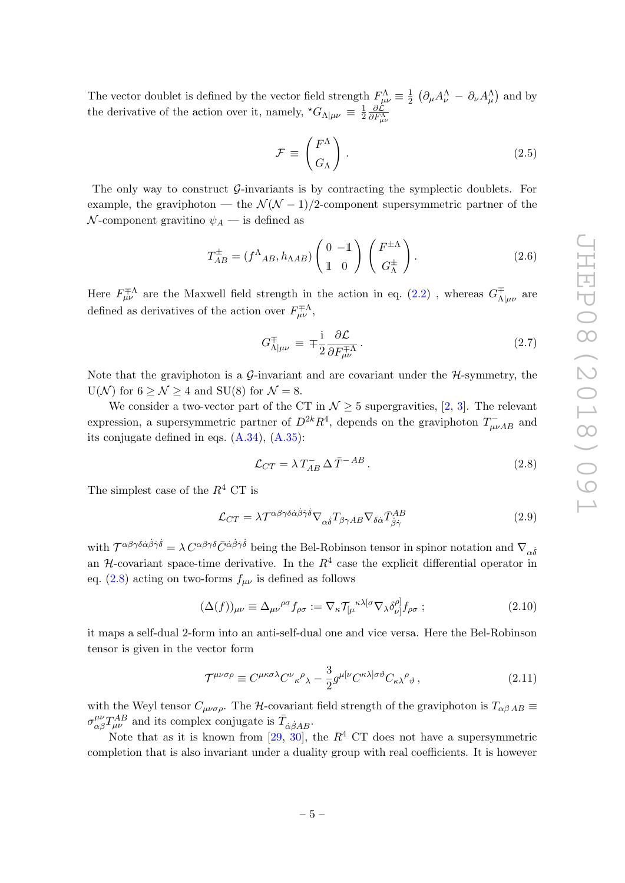The vector doublet is defined by the vector field strength  $F^{\Lambda}_{\mu\nu} \equiv \frac{1}{2}$  $\frac{1}{2}$   $\left(\partial_{\mu}A_{\nu}^{\Lambda} - \partial_{\nu}A_{\mu}^{\Lambda}\right)$  and by the derivative of the action over it, namely,  ${}^{\star}G_{\Lambda|\mu\nu} \equiv \frac{1}{2}$ 2  $\frac{\partial \mathcal{L}}{\partial F_{\mu\nu}^{\Lambda}}$ 

$$
\mathcal{F} \equiv \begin{pmatrix} F^{\Lambda} \\ G_{\Lambda} \end{pmatrix} . \tag{2.5}
$$

The only way to construct  $\mathcal{G}$ -invariants is by contracting the symplectic doublets. For example, the graviphoton — the  $\mathcal{N}(\mathcal{N}-1)/2$ -component supersymmetric partner of the N-component gravitino  $\psi_A$  — is defined as

$$
T_{AB}^{\pm} = (f^{\Lambda}_{AB}, h_{\Lambda AB}) \begin{pmatrix} 0 & -\mathbb{1} \\ \mathbb{1} & 0 \end{pmatrix} \begin{pmatrix} F^{\pm \Lambda} \\ G^{\pm}_{\Lambda} \end{pmatrix} . \tag{2.6}
$$

Here  $F^{\mp\Lambda}_{\mu\nu}$  are the Maxwell field strength in the action in eq. [\(2.2\)](#page-4-2), whereas  $G^{\mp\Lambda}_{\Lambda}$  $\alpha_{\Lambda|\mu\nu}^{\mp}$  are defined as derivatives of the action over  $F^{\pm \Lambda}_{\mu\nu}$ ,

$$
G_{\Lambda|\mu\nu}^{\mp} \equiv \mp \frac{i}{2} \frac{\partial \mathcal{L}}{\partial F_{\mu\nu}^{\mp\Lambda}}.
$$
\n(2.7)

Note that the graviphoton is a G-invariant and are covariant under the  $H$ -symmetry, the  $U(\mathcal{N})$  for  $6 > \mathcal{N} > 4$  and  $SU(8)$  for  $\mathcal{N} = 8$ .

We consider a two-vector part of the CT in  $\mathcal{N} \geq 5$  supergravities, [\[2,](#page-24-1) [3\]](#page-24-2). The relevant expression, a supersymmetric partner of  $D^{2k}R^4$ , depends on the graviphoton  $T_{\mu\nu AB}^-$  and its conjugate defined in eqs. [\(A.34\)](#page-17-0), [\(A.35\)](#page-17-1):

<span id="page-5-0"></span>
$$
\mathcal{L}_{CT} = \lambda T_{AB}^- \Delta \bar{T}^{-AB} \,. \tag{2.8}
$$

The simplest case of the  $R^4$  CT is

<span id="page-5-1"></span>
$$
\mathcal{L}_{CT} = \lambda \mathcal{T}^{\alpha\beta\gamma\delta\dot{\alpha}\dot{\beta}\dot{\gamma}\dot{\delta}} \nabla_{\alpha\dot{\delta}} T_{\beta\gamma AB} \nabla_{\delta\dot{\alpha}} \bar{T}^{AB}_{\dot{\beta}\dot{\gamma}}
$$
(2.9)

with  $\mathcal{T}^{\alpha\beta\gamma\delta\dot{\alpha}\dot{\beta}\dot{\gamma}\dot{\delta}} = \lambda C^{\alpha\beta\gamma\delta}\bar{C}^{\dot{\alpha}\dot{\beta}\dot{\gamma}\dot{\delta}}$  being the Bel-Robinson tensor in spinor notation and  $\nabla_{\alpha\dot{\delta}}$ an  $H$ -covariant space-time derivative. In the  $R<sup>4</sup>$  case the explicit differential operator in eq. [\(2.8\)](#page-5-0) acting on two-forms  $f_{\mu\nu}$  is defined as follows

<span id="page-5-2"></span>
$$
(\Delta(f))_{\mu\nu} \equiv \Delta_{\mu\nu}{}^{\rho\sigma} f_{\rho\sigma} := \nabla_{\kappa} \mathcal{T}_{\lbrack \mu}{}^{\kappa\lambda[\sigma} \nabla_{\lambda} \delta^{\rho]}_{\nu]} f_{\rho\sigma} ; \tag{2.10}
$$

it maps a self-dual 2-form into an anti-self-dual one and vice versa. Here the Bel-Robinson tensor is given in the vector form

$$
\mathcal{T}^{\mu\nu\sigma\rho} \equiv C^{\mu\kappa\sigma\lambda} C^{\nu}{}_{\kappa}{}^{\rho}{}_{\lambda} - \frac{3}{2} g^{\mu[\nu} C^{\kappa\lambda]\sigma\vartheta} C_{\kappa\lambda}{}^{\rho}{}_{\vartheta} \,, \tag{2.11}
$$

with the Weyl tensor  $C_{\mu\nu\sigma\rho}$ . The H-covariant field strength of the graviphoton is  $T_{\alpha\beta AB} \equiv$  $\sigma_{\alpha\beta}^{\mu\nu}T_{\mu\nu}^{AB}$  and its complex conjugate is  $\bar{T}_{\dot{\alpha}\dot{\beta}AB}$ .

Note that as it is known from [\[29,](#page-25-18) [30\]](#page-26-0), the  $R^4$  CT does not have a supersymmetric completion that is also invariant under a duality group with real coefficients. It is however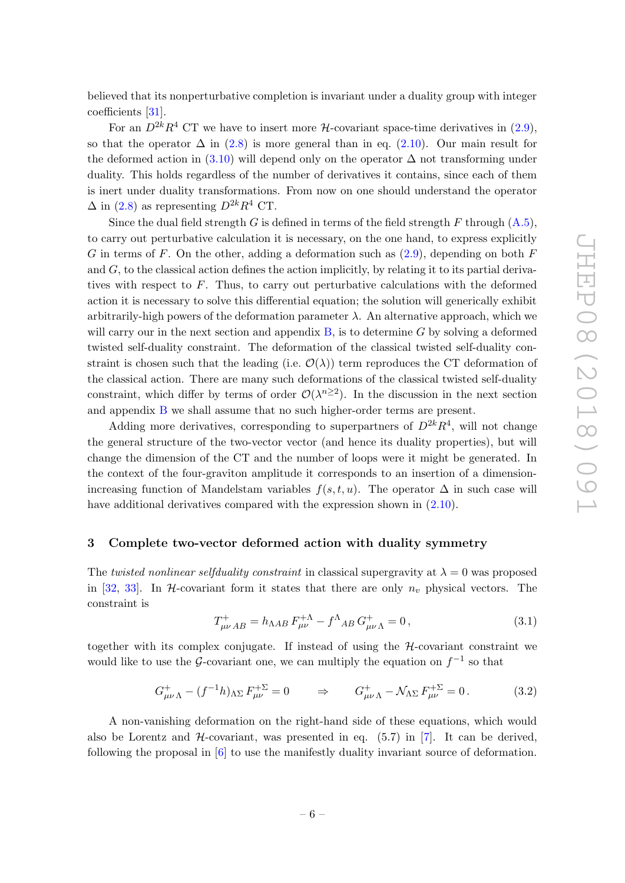believed that its nonperturbative completion is invariant under a duality group with integer coefficients [\[31\]](#page-26-1).

For an  $D^{2k}R^4$  CT we have to insert more *H*-covariant space-time derivatives in [\(2.9\)](#page-5-1), so that the operator  $\Delta$  in [\(2.8\)](#page-5-0) is more general than in eq. [\(2.10\)](#page-5-2). Our main result for the deformed action in  $(3.10)$  will depend only on the operator  $\Delta$  not transforming under duality. This holds regardless of the number of derivatives it contains, since each of them is inert under duality transformations. From now on one should understand the operator  $\Delta$  in [\(2.8\)](#page-5-0) as representing  $D^{2k}R^4$  CT.

Since the dual field strength G is defined in terms of the field strength F through  $(A.5)$ , to carry out perturbative calculation it is necessary, on the one hand, to express explicitly G in terms of F. On the other, adding a deformation such as  $(2.9)$ , depending on both F and  $G$ , to the classical action defines the action implicitly, by relating it to its partial derivatives with respect to  $F$ . Thus, to carry out perturbative calculations with the deformed action it is necessary to solve this differential equation; the solution will generically exhibit arbitrarily-high powers of the deformation parameter  $\lambda$ . An alternative approach, which we will carry our in the next section and appendix  $B$ , is to determine G by solving a deformed twisted self-duality constraint. The deformation of the classical twisted self-duality constraint is chosen such that the leading (i.e.  $\mathcal{O}(\lambda)$ ) term reproduces the CT deformation of the classical action. There are many such deformations of the classical twisted self-duality constraint, which differ by terms of order  $\mathcal{O}(\lambda^{n\geq 2})$ . In the discussion in the next section and appendix [B](#page-19-0) we shall assume that no such higher-order terms are present.

Adding more derivatives, corresponding to superpartners of  $D^{2k}R^4$ , will not change the general structure of the two-vector vector (and hence its duality properties), but will change the dimension of the CT and the number of loops were it might be generated. In the context of the four-graviton amplitude it corresponds to an insertion of a dimensionincreasing function of Mandelstam variables  $f(s, t, u)$ . The operator  $\Delta$  in such case will have additional derivatives compared with the expression shown in  $(2.10)$ .

#### <span id="page-6-0"></span>3 Complete two-vector deformed action with duality symmetry

The twisted nonlinear selfduality constraint in classical supergravity at  $\lambda = 0$  was proposed in [\[32,](#page-26-2) [33\]](#page-26-3). In H-covariant form it states that there are only  $n_v$  physical vectors. The constraint is

<span id="page-6-2"></span>
$$
T^{+}_{\mu\nu AB} = h_{\Lambda AB} F^{+\Lambda}_{\mu\nu} - f^{\Lambda}{}_{AB} G^{+}_{\mu\nu\Lambda} = 0, \qquad (3.1)
$$

together with its complex conjugate. If instead of using the  $H$ -covariant constraint we would like to use the G-covariant one, we can multiply the equation on  $f^{-1}$  so that

<span id="page-6-1"></span>
$$
G^+_{\mu\nu\Lambda} - (f^{-1}h)_{\Lambda\Sigma} F^{+\Sigma}_{\mu\nu} = 0 \qquad \Rightarrow \qquad G^+_{\mu\nu\Lambda} - \mathcal{N}_{\Lambda\Sigma} F^{+\Sigma}_{\mu\nu} = 0. \tag{3.2}
$$

A non-vanishing deformation on the right-hand side of these equations, which would also be Lorentz and  $H$ -covariant, was presented in eq. (5.7) in [\[7\]](#page-24-6). It can be derived, following the proposal in [\[6\]](#page-24-5) to use the manifestly duality invariant source of deformation.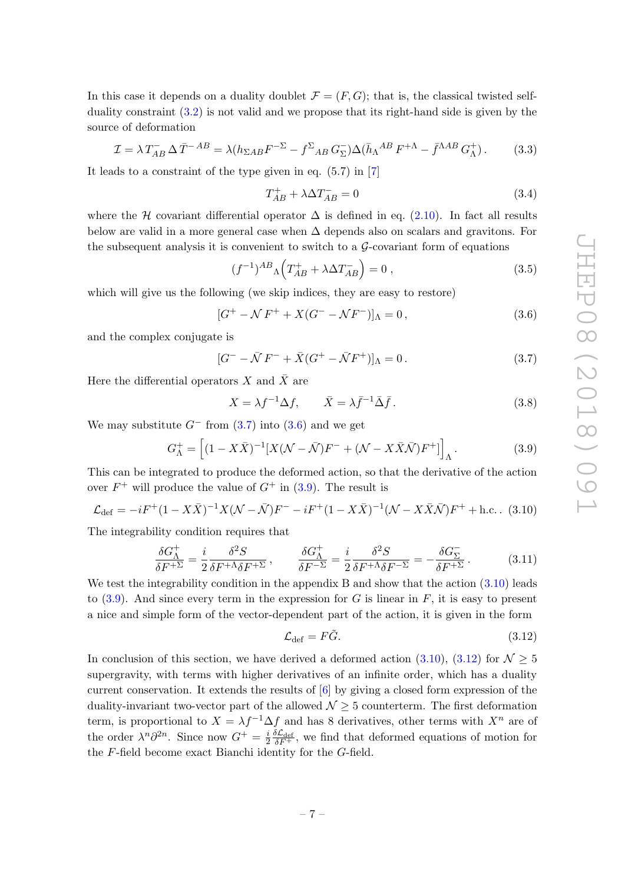In this case it depends on a duality doublet  $\mathcal{F} = (F, G)$ ; that is, the classical twisted selfduality constraint [\(3.2\)](#page-6-1) is not valid and we propose that its right-hand side is given by the source of deformation

$$
\mathcal{I} = \lambda T_{AB}^- \Delta \bar{T}^{-AB} = \lambda (h_{\Sigma AB} F^{-\Sigma} - f^{\Sigma}{}_{AB} G_{\Sigma}^-) \Delta (\bar{h}_{\Lambda}{}^{AB} F^{+\Lambda} - \bar{f}^{\Lambda AB} G_{\Lambda}^+).
$$
(3.3)

It leads to a constraint of the type given in eq. (5.7) in [\[7\]](#page-24-6)

<span id="page-7-5"></span>
$$
T_{AB}^{+} + \lambda \Delta T_{AB}^{-} = 0 \tag{3.4}
$$

where the H covariant differential operator  $\Delta$  is defined in eq. [\(2.10\)](#page-5-2). In fact all results below are valid in a more general case when  $\Delta$  depends also on scalars and gravitons. For the subsequent analysis it is convenient to switch to a  $\mathcal G$ -covariant form of equations

$$
(f^{-1})^{AB} \Lambda \left( T_{AB}^{+} + \lambda \Delta T_{AB}^{-} \right) = 0 , \qquad (3.5)
$$

which will give us the following (we skip indices, they are easy to restore)

<span id="page-7-2"></span>
$$
[G^{+} - N F^{+} + X(G^{-} - N F^{-})]_{\Lambda} = 0, \qquad (3.6)
$$

and the complex conjugate is

<span id="page-7-1"></span>
$$
[G^- - \bar{\mathcal{N}}F^- + \bar{X}(G^+ - \bar{\mathcal{N}}F^+)]_{\Lambda} = 0.
$$
 (3.7)

Here the differential operators X and  $\bar{X}$  are

$$
X = \lambda f^{-1} \Delta f, \qquad \bar{X} = \lambda \bar{f}^{-1} \bar{\Delta} \bar{f}.
$$
 (3.8)

We may substitute  $G^-$  from  $(3.7)$  into  $(3.6)$  and we get

<span id="page-7-3"></span>
$$
G_{\Lambda}^{+} = \left[ (1 - X\bar{X})^{-1} [X(\mathcal{N} - \bar{\mathcal{N}})F^{-} + (\mathcal{N} - X\bar{X}\bar{\mathcal{N}})F^{+}] \right]_{\Lambda}.
$$
 (3.9)

This can be integrated to produce the deformed action, so that the derivative of the action over  $F^+$  will produce the value of  $G^+$  in [\(3.9\)](#page-7-3). The result is

<span id="page-7-0"></span>
$$
\mathcal{L}_{\text{def}} = -iF^{+}(1 - X\bar{X})^{-1}X(\mathcal{N} - \bar{\mathcal{N}})F^{-} - iF^{+}(1 - X\bar{X})^{-1}(\mathcal{N} - X\bar{X}\bar{\mathcal{N}})F^{+} + \text{h.c.}.
$$
 (3.10)

The integrability condition requires that

<span id="page-7-6"></span>
$$
\frac{\delta G_{\Lambda}^{+}}{\delta F^{+\Sigma}} = \frac{i}{2} \frac{\delta^2 S}{\delta F^{+\Lambda} \delta F^{+\Sigma}}, \qquad \frac{\delta G_{\Lambda}^{+}}{\delta F^{-\Sigma}} = \frac{i}{2} \frac{\delta^2 S}{\delta F^{+\Lambda} \delta F^{-\Sigma}} = -\frac{\delta G_{\Sigma}^{-}}{\delta F^{+\Sigma}}.
$$
(3.11)

We test the integrability condition in the appendix B and show that the action  $(3.10)$  leads to  $(3.9)$ . And since every term in the expression for G is linear in F, it is easy to present a nice and simple form of the vector-dependent part of the action, it is given in the form

<span id="page-7-4"></span>
$$
\mathcal{L}_{\text{def}} = F\tilde{G}.\tag{3.12}
$$

In conclusion of this section, we have derived a deformed action [\(3.10\)](#page-7-0), [\(3.12\)](#page-7-4) for  $\mathcal{N} \geq 5$ supergravity, with terms with higher derivatives of an infinite order, which has a duality current conservation. It extends the results of  $[6]$  by giving a closed form expression of the duality-invariant two-vector part of the allowed  $\mathcal{N} \geq 5$  counterterm. The first deformation term, is proportional to  $X = \lambda f^{-1} \Delta f$  and has 8 derivatives, other terms with  $X^n$  are of the order  $\lambda^n \partial^{2n}$ . Since now  $G^+ = \frac{i}{2}$  $\frac{i}{2} \frac{\delta \mathcal{L}_{\text{def}}}{\delta F^+}$ , we find that deformed equations of motion for the F-field become exact Bianchi identity for the G-field.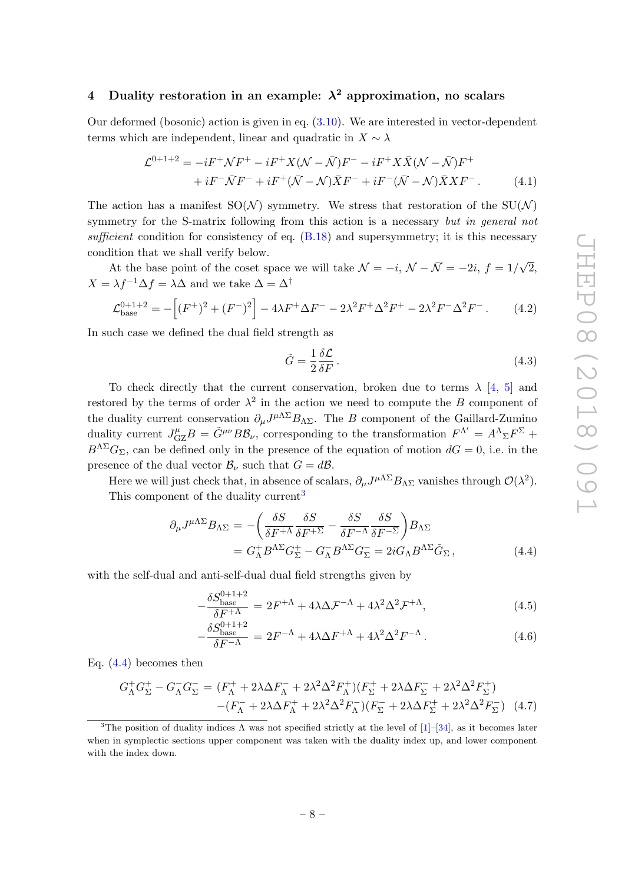### <span id="page-8-0"></span>4 Duality restoration in an example:  $\lambda^2$  approximation, no scalars

Our deformed (bosonic) action is given in eq. [\(3.10\)](#page-7-0). We are interested in vector-dependent terms which are independent, linear and quadratic in  $X \sim \lambda$ 

$$
\mathcal{L}^{0+1+2} = -iF^{+}\mathcal{N}F^{+} - iF^{+}X(\mathcal{N} - \bar{\mathcal{N}})F^{-} - iF^{+}X\bar{X}(\mathcal{N} - \bar{\mathcal{N}})F^{+} \n+ iF^{-}\bar{\mathcal{N}}F^{-} + iF^{+}(\bar{\mathcal{N}} - \mathcal{N})\bar{X}F^{-} + iF^{-}(\bar{\mathcal{N}} - \mathcal{N})\bar{X}XF^{-}.
$$
\n(4.1)

The action has a manifest  $SO(N)$  symmetry. We stress that restoration of the  $SU(N)$ symmetry for the S-matrix following from this action is a necessary but in general not sufficient condition for consistency of eq.  $(B.18)$  and supersymmetry; it is this necessary condition that we shall verify below.

At the base point of the coset space we will take  $\mathcal{N} = -i$ ,  $\mathcal{N} - \bar{\mathcal{N}} = -2i$ ,  $f = 1/\sqrt{2}$ ,  $X = \lambda f^{-1} \Delta f = \lambda \Delta$  and we take  $\Delta = \Delta^{\dagger}$ 

<span id="page-8-3"></span>
$$
\mathcal{L}_{\text{base}}^{0+1+2} = -\left[ (F^+)^2 + (F^-)^2 \right] - 4\lambda F^+ \Delta F^- - 2\lambda^2 F^+ \Delta^2 F^+ - 2\lambda^2 F^- \Delta^2 F^- \,. \tag{4.2}
$$

In such case we defined the dual field strength as

$$
\tilde{G} = \frac{1}{2} \frac{\delta \mathcal{L}}{\delta F} \,. \tag{4.3}
$$

To check directly that the current conservation, broken due to terms  $\lambda$  [\[4,](#page-24-3) [5\]](#page-24-4) and restored by the terms of order  $\lambda^2$  in the action we need to compute the B component of the duality current conservation  $\partial_{\mu}J^{\mu\Lambda\Sigma}B_{\Lambda\Sigma}$ . The B component of the Gaillard-Zumino duality current  $J_{\rm GZ}^{\mu}B = \tilde{G}^{\mu\nu}B\mathcal{B}_{\nu}$ , corresponding to the transformation  $F^{\Lambda'} = A^{\Lambda}{}_{\Sigma}F^{\Sigma} +$  $B^{\Lambda\Sigma}G_{\Sigma}$ , can be defined only in the presence of the equation of motion  $dG = 0$ , i.e. in the presence of the dual vector  $\mathcal{B}_{\nu}$  such that  $G = d\mathcal{B}$ .

Here we will just check that, in absence of scalars,  $\partial_{\mu}J^{\mu\Lambda\Sigma}B_{\Lambda\Sigma}$  vanishes through  $\mathcal{O}(\lambda^2)$ . This component of the duality current<sup>[3](#page-8-1)</sup>

<span id="page-8-2"></span>
$$
\partial_{\mu} J^{\mu \Lambda \Sigma} B_{\Lambda \Sigma} = -\left(\frac{\delta S}{\delta F^{+\Lambda}} \frac{\delta S}{\delta F^{+\Sigma}} - \frac{\delta S}{\delta F^{-\Lambda}} \frac{\delta S}{\delta F^{-\Sigma}}\right) B_{\Lambda \Sigma}
$$
  
=  $G_{\Lambda}^{+} B^{\Lambda \Sigma} G_{\Sigma}^{+} - G_{\Lambda}^{-} B^{\Lambda \Sigma} G_{\Sigma}^{-} = 2i G_{\Lambda} B^{\Lambda \Sigma} \tilde{G}_{\Sigma},$  (4.4)

with the self-dual and anti-self-dual dual field strengths given by

$$
-\frac{\delta S_{\text{base}}^{0+1+2}}{\delta F^{+\Lambda}} = 2F^{+\Lambda} + 4\lambda \Delta \mathcal{F}^{-\Lambda} + 4\lambda^2 \Delta^2 \mathcal{F}^{+\Lambda},\tag{4.5}
$$

$$
-\frac{\delta S_{\text{base}}^{0+1+2}}{\delta F^{-\Lambda}} = 2F^{-\Lambda} + 4\lambda \Delta F^{+\Lambda} + 4\lambda^2 \Delta^2 F^{-\Lambda}.
$$
 (4.6)

Eq. [\(4.4\)](#page-8-2) becomes then

$$
G_{\Lambda}^{+}G_{\Sigma}^{+} - G_{\Lambda}^{-}G_{\Sigma}^{-} = (F_{\Lambda}^{+} + 2\lambda\Delta F_{\Lambda}^{-} + 2\lambda^{2}\Delta^{2}F_{\Lambda}^{+})(F_{\Sigma}^{+} + 2\lambda\Delta F_{\Sigma}^{-} + 2\lambda^{2}\Delta^{2}F_{\Sigma}^{+})
$$

$$
-(F_{\Lambda}^{-} + 2\lambda\Delta F_{\Lambda}^{+} + 2\lambda^{2}\Delta^{2}F_{\Lambda}^{-})(F_{\Sigma}^{-} + 2\lambda\Delta F_{\Sigma}^{+} + 2\lambda^{2}\Delta^{2}F_{\Sigma}^{-})
$$
(4.7)

<span id="page-8-1"></span><sup>&</sup>lt;sup>3</sup>The position of duality indices  $\Lambda$  was not specified strictly at the level of [\[1\]](#page-24-0)–[\[34\]](#page-26-4), as it becomes later when in symplectic sections upper component was taken with the duality index up, and lower component with the index down.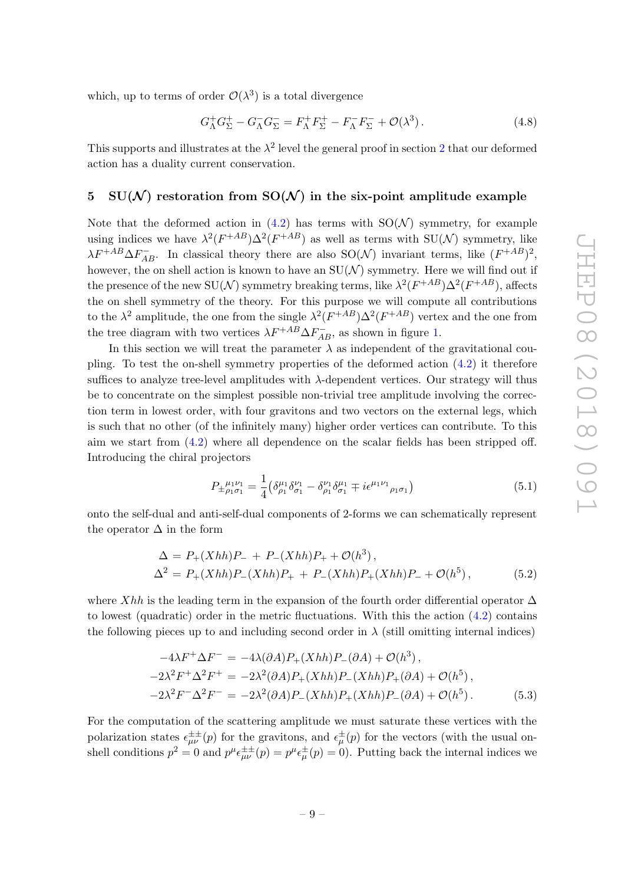which, up to terms of order  $\mathcal{O}(\lambda^3)$  is a total divergence

$$
G_{\Lambda}^+ G_{\Sigma}^+ - G_{\Lambda}^- G_{\Sigma}^- = F_{\Lambda}^+ F_{\Sigma}^+ - F_{\Lambda}^- F_{\Sigma}^- + \mathcal{O}(\lambda^3) \,. \tag{4.8}
$$

This supports and illustrates at the  $\lambda^2$  $\lambda^2$  level the general proof in section 2 that our deformed action has a duality current conservation.

#### <span id="page-9-0"></span>5 SU(N) restoration from SO(N) in the six-point amplitude example

Note that the deformed action in [\(4.2\)](#page-8-3) has terms with  $SO(N)$  symmetry, for example using indices we have  $\lambda^2 (F^{+AB}) \Delta^2 (F^{+AB})$  as well as terms with  $SU(N)$  symmetry, like  $\lambda F^{+AB} \Delta F_{AB}^-$ . In classical theory there are also SO(N) invariant terms, like  $(F^{+AB})^2$ , however, the on shell action is known to have an  $SU(N)$  symmetry. Here we will find out if the presence of the new SU( $\mathcal{N}$ ) symmetry breaking terms, like  $\lambda^2 (F^{+AB}) \Delta^2 (F^{+AB})$ , affects the on shell symmetry of the theory. For this purpose we will compute all contributions to the  $\lambda^2$  amplitude, the one from the single  $\lambda^2 (F^{+AB}) \Delta^2 (F^{+AB})$  vertex and the one from the tree diagram with two vertices  $\lambda F^{+AB} \Delta F^-_{AB}$ , as shown in figure [1.](#page-10-0)

In this section we will treat the parameter  $\lambda$  as independent of the gravitational coupling. To test the on-shell symmetry properties of the deformed action  $(4.2)$  it therefore suffices to analyze tree-level amplitudes with λ-dependent vertices. Our strategy will thus be to concentrate on the simplest possible non-trivial tree amplitude involving the correction term in lowest order, with four gravitons and two vectors on the external legs, which is such that no other (of the infinitely many) higher order vertices can contribute. To this aim we start from [\(4.2\)](#page-8-3) where all dependence on the scalar fields has been stripped off. Introducing the chiral projectors

$$
P_{\pm \rho_1 \sigma_1}^{\mu_1 \nu_1} = \frac{1}{4} \left( \delta^{\mu_1}_{\rho_1} \delta^{\nu_1}_{\sigma_1} - \delta^{\nu_1}_{\rho_1} \delta^{\mu_1}_{\sigma_1} \mp i \epsilon^{\mu_1 \nu_1}_{\rho_1 \sigma_1} \right) \tag{5.1}
$$

onto the self-dual and anti-self-dual components of 2-forms we can schematically represent the operator  $\Delta$  in the form

$$
\Delta = P_{+}(Xhh)P_{-} + P_{-}(Xhh)P_{+} + \mathcal{O}(h^{3}),
$$
  
\n
$$
\Delta^{2} = P_{+}(Xhh)P_{-}(Xhh)P_{+} + P_{-}(Xhh)P_{+}(Xhh)P_{-} + \mathcal{O}(h^{5}),
$$
\n(5.2)

where Xhh is the leading term in the expansion of the fourth order differential operator  $\Delta$ to lowest (quadratic) order in the metric fluctuations. With this the action  $(4.2)$  contains the following pieces up to and including second order in  $\lambda$  (still omitting internal indices)

<span id="page-9-1"></span>
$$
-4\lambda F^{+}\Delta F^{-} = -4\lambda(\partial A)P_{+}(Xhh)P_{-}(\partial A) + \mathcal{O}(h^{3}),
$$
  
\n
$$
-2\lambda^{2}F^{+}\Delta^{2}F^{+} = -2\lambda^{2}(\partial A)P_{+}(Xhh)P_{-}(Xhh)P_{+}(\partial A) + \mathcal{O}(h^{5}),
$$
  
\n
$$
-2\lambda^{2}F^{-}\Delta^{2}F^{-} = -2\lambda^{2}(\partial A)P_{-}(Xhh)P_{+}(Xhh)P_{-}(\partial A) + \mathcal{O}(h^{5}).
$$
\n(5.3)

For the computation of the scattering amplitude we must saturate these vertices with the polarization states  $\epsilon^{\pm\pm}_{\mu\nu}(p)$  for the gravitons, and  $\epsilon^{\pm}_{\mu}(p)$  for the vectors (with the usual onshell conditions  $p^2 = 0$  and  $p^{\mu} \epsilon^{\pm \pm}_{\mu \nu}(p) = p^{\mu} \epsilon^{\pm}_{\mu}(p) = 0$ . Putting back the internal indices we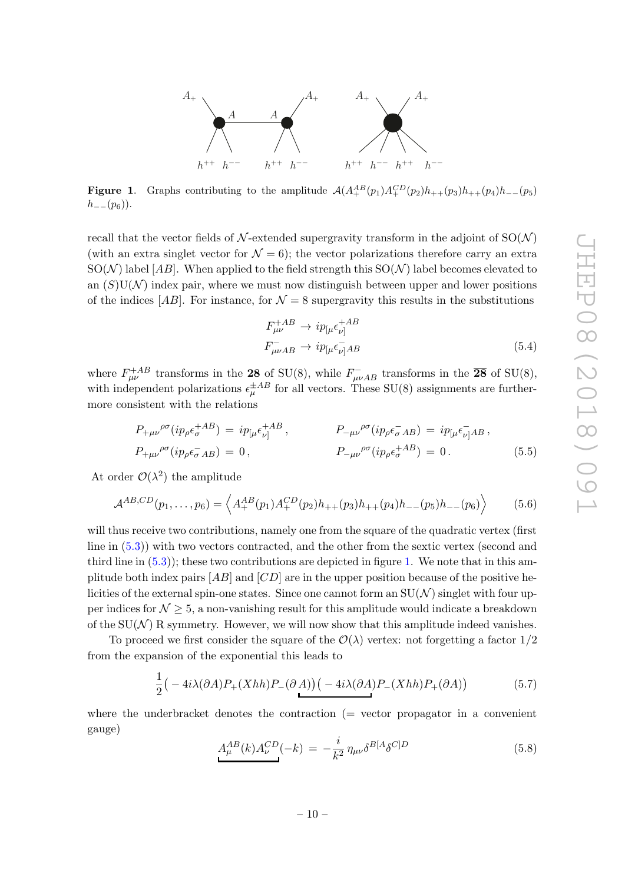

<span id="page-10-0"></span>**Figure 1.** Graphs contributing to the amplitude  $\mathcal{A}(A_+^{AB}(p_1)A_+^{CD}(p_2)h_{++}(p_3)h_{++}(p_4)h_{--}(p_5)$  $h_{--}(p_6)$ ).

recall that the vector fields of  $\mathcal N$ -extended supergravity transform in the adjoint of  $SO(\mathcal N)$ (with an extra singlet vector for  $\mathcal{N} = 6$ ); the vector polarizations therefore carry an extra  $SO(N)$  label [AB]. When applied to the field strength this  $SO(N)$  label becomes elevated to an  $(S)U(N)$  index pair, where we must now distinguish between upper and lower positions of the indices [AB]. For instance, for  $\mathcal{N} = 8$  supergravity this results in the substitutions

<span id="page-10-1"></span>
$$
F_{\mu\nu}^{+AB} \rightarrow i p_{[\mu} \epsilon_{\nu]}^{+AB}
$$
  
\n
$$
F_{\mu\nu AB}^{-} \rightarrow i p_{[\mu} \epsilon_{\nu]}^{-} AB
$$
\n(5.4)

where  $F_{\mu\nu}^{+AB}$  transforms in the 28 of SU(8), while  $F_{\mu\nu AB}^{-}$  transforms in the  $\overline{28}$  of SU(8), with independent polarizations  $\epsilon_{\mu}^{\pm AB}$  for all vectors. These SU(8) assignments are furthermore consistent with the relations

$$
P_{+\mu\nu}{}^{\rho\sigma}(ip_{\rho}\epsilon_{\sigma}^{+AB}) = ip_{\lbrack\mu}\epsilon_{\nu\rbrack}^{+AB}, \qquad P_{-\mu\nu}{}^{\rho\sigma}(ip_{\rho}\epsilon_{\sigma}^{-}AB) = ip_{\lbrack\mu}\epsilon_{\nu\rbrack}^{-}AB,
$$
  

$$
P_{+\mu\nu}{}^{\rho\sigma}(ip_{\rho}\epsilon_{\sigma}^{-}AB) = 0, \qquad P_{-\mu\nu}{}^{\rho\sigma}(ip_{\rho}\epsilon_{\sigma}^{+AB}) = 0.
$$
 (5.5)

At order  $\mathcal{O}(\lambda^2)$  the amplitude

$$
\mathcal{A}^{AB,CD}(p_1,\ldots,p_6) = \left\langle A_+^{AB}(p_1) A_+^{CD}(p_2) h_{++}(p_3) h_{++}(p_4) h_{--}(p_5) h_{--}(p_6) \right\rangle \tag{5.6}
$$

will thus receive two contributions, namely one from the square of the quadratic vertex (first line in [\(5.3\)](#page-9-1)) with two vectors contracted, and the other from the sextic vertex (second and third line in  $(5.3)$ ; these two contributions are depicted in figure [1.](#page-10-0) We note that in this amplitude both index pairs  $[AB]$  and  $[CD]$  are in the upper position because of the positive helicities of the external spin-one states. Since one cannot form an  $SU(N)$  singlet with four upper indices for  $\mathcal{N} \geq 5$ , a non-vanishing result for this amplitude would indicate a breakdown of the  $SU(N)$  R symmetry. However, we will now show that this amplitude indeed vanishes.

To proceed we first consider the square of the  $\mathcal{O}(\lambda)$  vertex: not forgetting a factor  $1/2$ from the expansion of the exponential this leads to

$$
\frac{1}{2} \left( -4i\lambda(\partial A)P_{+}(Xhh)P_{-}(\partial A) \right) \left( -4i\lambda(\partial A)P_{-}(Xhh)P_{+}(\partial A) \right) \tag{5.7}
$$

where the underbracket denotes the contraction  $($  = vector propagator in a convenient gauge)

$$
A_{\mu}^{AB}(k)A_{\nu}^{CD}(-k) = -\frac{i}{k^2} \eta_{\mu\nu} \delta^{B[A} \delta^{C]D} \tag{5.8}
$$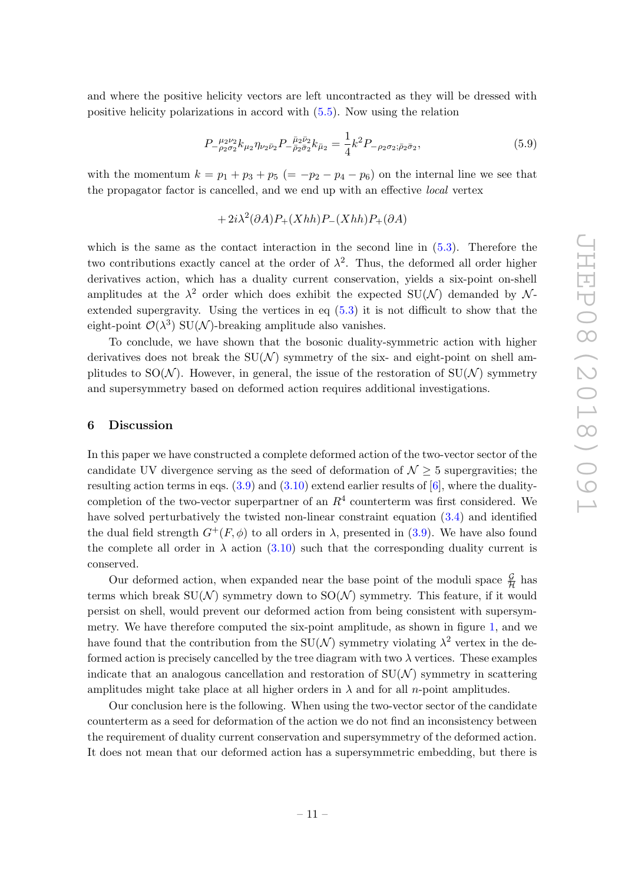and where the positive helicity vectors are left uncontracted as they will be dressed with positive helicity polarizations in accord with [\(5.5\)](#page-10-1). Now using the relation

$$
P_{-\rho_2\sigma_2}^{\ \mu_2\nu_2} k_{\mu_2} \eta_{\nu_2\bar{\nu}_2} P_{-\bar{\rho}_2\bar{\sigma}_2}^{\ \bar{\mu}_2\bar{\nu}_2} k_{\bar{\mu}_2} = \frac{1}{4} k^2 P_{-\rho_2\sigma_2; \bar{\rho}_2\bar{\sigma}_2},\tag{5.9}
$$

with the momentum  $k = p_1 + p_3 + p_5 (= -p_2 - p_4 - p_6)$  on the internal line we see that the propagator factor is cancelled, and we end up with an effective local vertex

 $+ 2i\lambda^2(\partial A)P_+(Xhh)P_-(Xhh)P_+(\partial A)$ 

which is the same as the contact interaction in the second line in  $(5.3)$ . Therefore the two contributions exactly cancel at the order of  $\lambda^2$ . Thus, the deformed all order higher derivatives action, which has a duality current conservation, yields a six-point on-shell amplitudes at the  $\lambda^2$  order which does exhibit the expected SU(N) demanded by Nextended supergravity. Using the vertices in eq [\(5.3\)](#page-9-1) it is not difficult to show that the eight-point  $\mathcal{O}(\lambda^3)$  SU(N)-breaking amplitude also vanishes.

To conclude, we have shown that the bosonic duality-symmetric action with higher derivatives does not break the  $SU(N)$  symmetry of the six- and eight-point on shell amplitudes to  $SO(N)$ . However, in general, the issue of the restoration of  $SU(N)$  symmetry and supersymmetry based on deformed action requires additional investigations.

#### <span id="page-11-0"></span>6 Discussion

In this paper we have constructed a complete deformed action of the two-vector sector of the candidate UV divergence serving as the seed of deformation of  $\mathcal{N} \geq 5$  supergravities; the resulting action terms in eqs.  $(3.9)$  and  $(3.10)$  extend earlier results of  $[6]$ , where the dualitycompletion of the two-vector superpartner of an  $R<sup>4</sup>$  counterterm was first considered. We have solved perturbatively the twisted non-linear constraint equation [\(3.4\)](#page-7-5) and identified the dual field strength  $G^+(F,\phi)$  to all orders in  $\lambda$ , presented in [\(3.9\)](#page-7-3). We have also found the complete all order in  $\lambda$  action [\(3.10\)](#page-7-0) such that the corresponding duality current is conserved.

Our deformed action, when expanded near the base point of the moduli space  $\frac{\mathcal{G}}{\mathcal{H}}$  has terms which break  $SU(N)$  symmetry down to  $SO(N)$  symmetry. This feature, if it would persist on shell, would prevent our deformed action from being consistent with supersymmetry. We have therefore computed the six-point amplitude, as shown in figure [1,](#page-10-0) and we have found that the contribution from the  $SU(N)$  symmetry violating  $\lambda^2$  vertex in the deformed action is precisely cancelled by the tree diagram with two  $\lambda$  vertices. These examples indicate that an analogous cancellation and restoration of  $SU(N)$  symmetry in scattering amplitudes might take place at all higher orders in  $\lambda$  and for all *n*-point amplitudes.

Our conclusion here is the following. When using the two-vector sector of the candidate counterterm as a seed for deformation of the action we do not find an inconsistency between the requirement of duality current conservation and supersymmetry of the deformed action. It does not mean that our deformed action has a supersymmetric embedding, but there is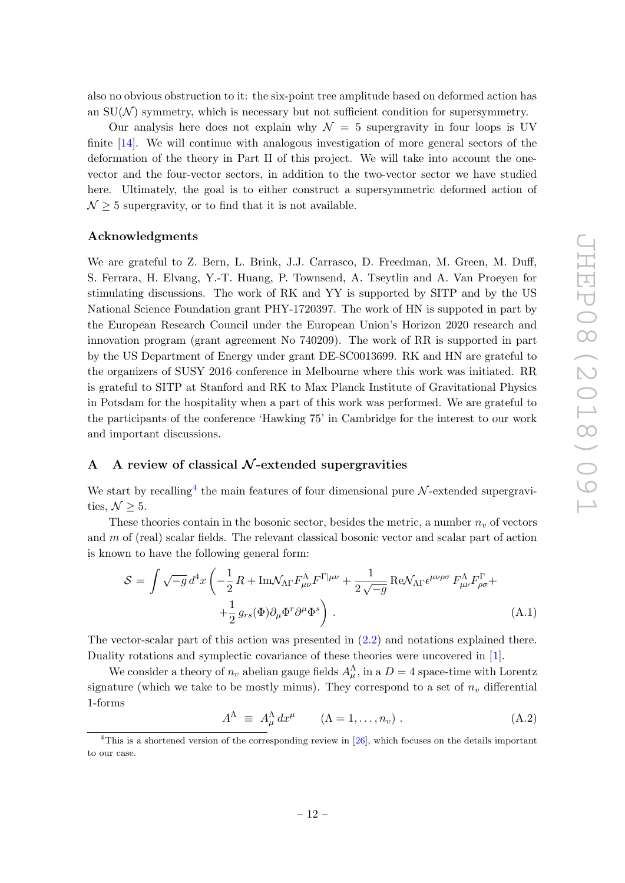also no obvious obstruction to it: the six-point tree amplitude based on deformed action has an  $SU(N)$  symmetry, which is necessary but not sufficient condition for supersymmetry.

Our analysis here does not explain why  $\mathcal{N} = 5$  supergravity in four loops is UV finite [\[14\]](#page-25-3). We will continue with analogous investigation of more general sectors of the deformation of the theory in Part II of this project. We will take into account the onevector and the four-vector sectors, in addition to the two-vector sector we have studied here. Ultimately, the goal is to either construct a supersymmetric deformed action of  $\mathcal{N} \geq 5$  supergravity, or to find that it is not available.

#### Acknowledgments

We are grateful to Z. Bern, L. Brink, J.J. Carrasco, D. Freedman, M. Green, M. Duff, S. Ferrara, H. Elvang, Y.-T. Huang, P. Townsend, A. Tseytlin and A. Van Proeyen for stimulating discussions. The work of RK and YY is supported by SITP and by the US National Science Foundation grant PHY-1720397. The work of HN is suppoted in part by the European Research Council under the European Union's Horizon 2020 research and innovation program (grant agreement No 740209). The work of RR is supported in part by the US Department of Energy under grant DE-SC0013699. RK and HN are grateful to the organizers of SUSY 2016 conference in Melbourne where this work was initiated. RR is grateful to SITP at Stanford and RK to Max Planck Institute of Gravitational Physics in Potsdam for the hospitality when a part of this work was performed. We are grateful to the participants of the conference 'Hawking 75' in Cambridge for the interest to our work and important discussions.

## <span id="page-12-0"></span>A A review of classical  $\mathcal N$ -extended supergravities

We start by recalling<sup>[4](#page-12-1)</sup> the main features of four dimensional pure  $\mathcal{N}$ -extended supergravities,  $\mathcal{N} \geq 5$ .

These theories contain in the bosonic sector, besides the metric, a number  $n_v$  of vectors and  $m$  of (real) scalar fields. The relevant classical bosonic vector and scalar part of action is known to have the following general form:

<span id="page-12-2"></span>
$$
S = \int \sqrt{-g} d^4x \left( -\frac{1}{2} R + \text{Im} \mathcal{N}_{\Lambda \Gamma} F^{\Lambda}_{\mu\nu} F^{\Gamma | \mu\nu} + \frac{1}{2 \sqrt{-g}} \text{Re} \mathcal{N}_{\Lambda \Gamma} \epsilon^{\mu\nu\rho\sigma} F^{\Lambda}_{\mu\nu} F^{\Gamma}_{\rho\sigma} + \right. \\
\left. + \frac{1}{2} g_{rs}(\Phi) \partial_{\mu} \Phi^r \partial^{\mu} \Phi^s \right) . \tag{A.1}
$$

The vector-scalar part of this action was presented in [\(2.2\)](#page-4-2) and notations explained there. Duality rotations and symplectic covariance of these theories were uncovered in [\[1\]](#page-24-0).

We consider a theory of  $n_v$  abelian gauge fields  $A_\mu^\Lambda$ , in a  $D=4$  space-time with Lorentz signature (which we take to be mostly minus). They correspond to a set of  $n<sub>v</sub>$  differential 1-forms

$$
A^{\Lambda} \equiv A_{\mu}^{\Lambda} dx^{\mu} \qquad (\Lambda = 1, \dots, n_{v}). \qquad (A.2)
$$

<span id="page-12-1"></span><sup>&</sup>lt;sup>4</sup>This is a shortened version of the corresponding review in  $[26]$ , which focuses on the details important to our case.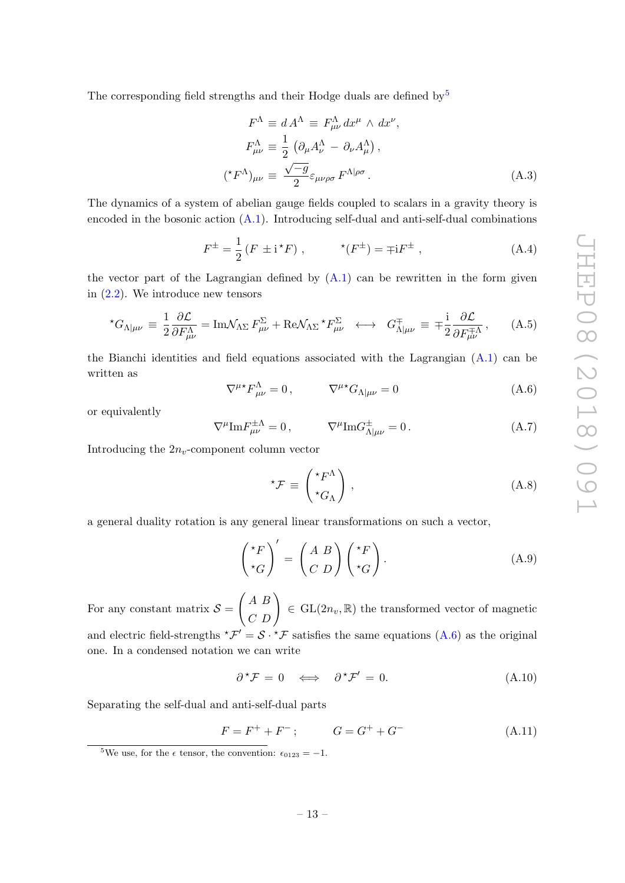The corresponding field strengths and their Hodge duals are defined by  $5$ 

$$
F^{\Lambda} \equiv d A^{\Lambda} \equiv F^{\Lambda}_{\mu\nu} dx^{\mu} \wedge dx^{\nu},
$$
  
\n
$$
F^{\Lambda}_{\mu\nu} \equiv \frac{1}{2} \left( \partial_{\mu} A^{\Lambda}_{\nu} - \partial_{\nu} A^{\Lambda}_{\mu} \right),
$$
  
\n
$$
({}^{\star}F^{\Lambda})_{\mu\nu} \equiv \frac{\sqrt{-g}}{2} \varepsilon_{\mu\nu\rho\sigma} F^{\Lambda|\rho\sigma}.
$$
\n(A.3)

The dynamics of a system of abelian gauge fields coupled to scalars in a gravity theory is encoded in the bosonic action [\(A.1\)](#page-12-2). Introducing self-dual and anti-self-dual combinations

$$
F^{\pm} = \frac{1}{2} \left( F \pm \mathrm{i}^{\star} F \right) , \qquad \star (F^{\pm}) = \mp \mathrm{i} F^{\pm} , \qquad (A.4)
$$

the vector part of the Lagrangian defined by  $(A.1)$  can be rewritten in the form given in [\(2.2\)](#page-4-2). We introduce new tensors

<span id="page-13-0"></span>
$$
{}^{\star}G_{\Lambda|\mu\nu} \equiv \frac{1}{2} \frac{\partial \mathcal{L}}{\partial F^{\Lambda}_{\mu\nu}} = \text{Im}\mathcal{N}_{\Lambda\Sigma} F^{\Sigma}_{\mu\nu} + \text{Re}\mathcal{N}_{\Lambda\Sigma} {}^{\star}F^{\Sigma}_{\mu\nu} \longleftrightarrow G^{\mp}_{\Lambda|\mu\nu} \equiv \mp \frac{\text{i}}{2} \frac{\partial \mathcal{L}}{\partial F^{\mp}_{\mu\nu}} ,\qquad (A.5)
$$

the Bianchi identities and field equations associated with the Lagrangian  $(A.1)$  can be written as

<span id="page-13-2"></span>
$$
\nabla^{\mu*} F^{\Lambda}_{\mu\nu} = 0, \qquad \nabla^{\mu*} G_{\Lambda|\mu\nu} = 0 \qquad (A.6)
$$

or equivalently

$$
\nabla^{\mu} \text{Im} F^{\pm \Lambda}_{\mu \nu} = 0, \qquad \nabla^{\mu} \text{Im} G^{\pm}_{\Lambda | \mu \nu} = 0. \qquad (A.7)
$$

Introducing the  $2n_v$ -component column vector

$$
{}^{\star}\mathcal{F} \equiv \begin{pmatrix} {}^{\star}F^{\Lambda} \\ {}^{\star}G_{\Lambda} \end{pmatrix}, \tag{A.8}
$$

a general duality rotation is any general linear transformations on such a vector,

<span id="page-13-3"></span>
$$
\begin{pmatrix} \star_F \\ \star_G \end{pmatrix}' = \begin{pmatrix} A & B \\ C & D \end{pmatrix} \begin{pmatrix} \star_F \\ \star_G \end{pmatrix} . \tag{A.9}
$$

For any constant matrix  $S =$  $\begin{pmatrix} A & B \\ C & D \end{pmatrix} \in GL(2n_v, \mathbb{R})$  the transformed vector of magnetic and electric field-strengths  ${}^{\star}\mathcal{F}' = \mathcal{S} \cdot {}^{\star}\mathcal{F}$  satisfies the same equations [\(A.6\)](#page-13-2) as the original one. In a condensed notation we can write

$$
\partial^{\star} \mathcal{F} = 0 \iff \partial^{\star} \mathcal{F}' = 0. \tag{A.10}
$$

Separating the self-dual and anti-self-dual parts

$$
F = F^{+} + F^{-}; \t G = G^{+} + G^{-} \t (A.11)
$$

<span id="page-13-1"></span><sup>&</sup>lt;sup>5</sup>We use, for the  $\epsilon$  tensor, the convention:  $\epsilon_{0123} = -1$ .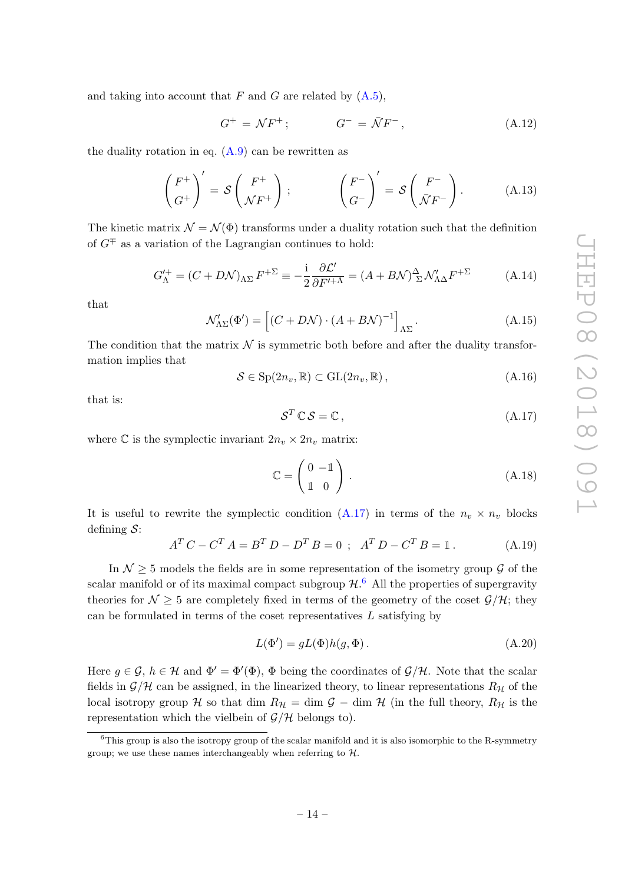and taking into account that  $F$  and  $G$  are related by  $(A.5)$ ,

<span id="page-14-4"></span>
$$
G^+ = \mathcal{N}F^+; \qquad G^- = \bar{\mathcal{N}}F^-, \qquad (A.12)
$$

the duality rotation in eq.  $(A.9)$  can be rewritten as

<span id="page-14-2"></span>
$$
\begin{pmatrix} F^+ \\ G^+ \end{pmatrix}' = \mathcal{S} \begin{pmatrix} F^+ \\ \mathcal{N} F^+ \end{pmatrix} ; \qquad \begin{pmatrix} F^- \\ G^- \end{pmatrix}' = \mathcal{S} \begin{pmatrix} F^- \\ \bar{\mathcal{N}} F^- \end{pmatrix} . \tag{A.13}
$$

The kinetic matrix  $\mathcal{N} = \mathcal{N}(\Phi)$  transforms under a duality rotation such that the definition of  $G^{\mp}$  as a variation of the Lagrangian continues to hold:

$$
G_{\Lambda}^{\prime +} = (C + D\mathcal{N})_{\Lambda\Sigma} F^{+\Sigma} \equiv -\frac{\mathrm{i}}{2} \frac{\partial \mathcal{L}^{\prime}}{\partial F^{\prime + \Lambda}} = (A + B\mathcal{N})_{\Sigma}^{\Delta} \mathcal{N}_{\Lambda\Delta}^{\prime} F^{+\Sigma}
$$
 (A.14)

that

$$
\mathcal{N}'_{\Lambda\Sigma}(\Phi') = \left[ (C + D\mathcal{N}) \cdot (A + B\mathcal{N})^{-1} \right]_{\Lambda\Sigma}.
$$
\n(A.15)

The condition that the matrix  $\mathcal N$  is symmetric both before and after the duality transformation implies that

$$
S \in \mathrm{Sp}(2n_v, \mathbb{R}) \subset \mathrm{GL}(2n_v, \mathbb{R}), \tag{A.16}
$$

that is:

<span id="page-14-0"></span>
$$
S^T \mathbb{C} S = \mathbb{C}, \qquad (A.17)
$$

where C is the symplectic invariant  $2n_v \times 2n_v$  matrix:

$$
\mathbb{C} = \begin{pmatrix} 0 & -\mathbb{1} \\ \mathbb{1} & 0 \end{pmatrix} .
$$
 (A.18)

It is useful to rewrite the symplectic condition  $(A.17)$  in terms of the  $n_v \times n_v$  blocks defining  $S$ :

<span id="page-14-3"></span>
$$
AT C - CT A = BT D - DT B = 0 ; AT D - CT B = 1.
$$
 (A.19)

In  $\mathcal{N} > 5$  models the fields are in some representation of the isometry group  $\mathcal{G}$  of the scalar manifold or of its maximal compact subgroup  $\mathcal{H}$ .<sup>[6](#page-14-1)</sup> All the properties of supergravity theories for  $\mathcal{N} \geq 5$  are completely fixed in terms of the geometry of the coset  $\mathcal{G}/\mathcal{H}$ ; they can be formulated in terms of the coset representatives  $L$  satisfying by

$$
L(\Phi') = gL(\Phi)h(g, \Phi). \tag{A.20}
$$

Here  $g \in \mathcal{G}$ ,  $h \in \mathcal{H}$  and  $\Phi' = \Phi'(\Phi)$ ,  $\Phi$  being the coordinates of  $\mathcal{G}/\mathcal{H}$ . Note that the scalar fields in  $\mathcal{G}/\mathcal{H}$  can be assigned, in the linearized theory, to linear representations  $R_{\mathcal{H}}$  of the local isotropy group H so that dim  $R_{\mathcal{H}} = \dim \mathcal{G} - \dim \mathcal{H}$  (in the full theory,  $R_{\mathcal{H}}$  is the representation which the vielbein of  $\mathcal{G}/\mathcal{H}$  belongs to).

<span id="page-14-1"></span> ${}^{6}$ This group is also the isotropy group of the scalar manifold and it is also isomorphic to the R-symmetry group; we use these names interchangeably when referring to  $H$ .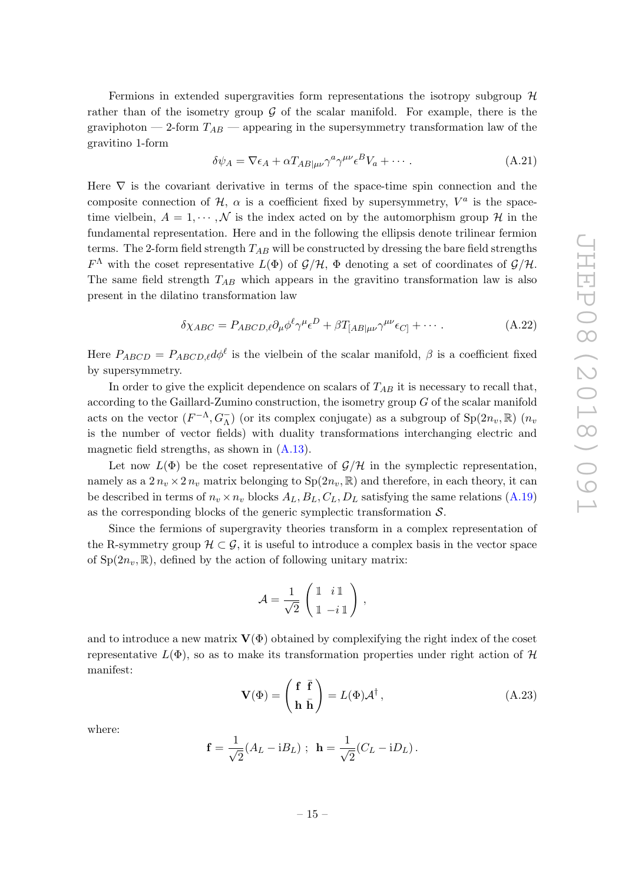Fermions in extended supergravities form representations the isotropy subgroup  $H$ rather than of the isometry group  $\mathcal G$  of the scalar manifold. For example, there is the graviphoton — 2-form  $T_{AB}$  — appearing in the supersymmetry transformation law of the gravitino 1-form

$$
\delta \psi_A = \nabla \epsilon_A + \alpha T_{AB|\mu\nu} \gamma^a \gamma^{\mu\nu} \epsilon^B V_a + \cdots. \tag{A.21}
$$

Here  $\nabla$  is the covariant derivative in terms of the space-time spin connection and the composite connection of  $H$ ,  $\alpha$  is a coefficient fixed by supersymmetry,  $V^a$  is the spacetime vielbein,  $A = 1, \dots, N$  is the index acted on by the automorphism group H in the fundamental representation. Here and in the following the ellipsis denote trilinear fermion terms. The 2-form field strength  $T_{AB}$  will be constructed by dressing the bare field strengths  $F^{\Lambda}$  with the coset representative  $L(\Phi)$  of  $\mathcal{G}/\mathcal{H}$ ,  $\Phi$  denoting a set of coordinates of  $\mathcal{G}/\mathcal{H}$ . The same field strength  $T_{AB}$  which appears in the gravitino transformation law is also present in the dilatino transformation law

$$
\delta \chi_{ABC} = P_{ABCD,\ell} \partial_{\mu} \phi^{\ell} \gamma^{\mu} \epsilon^D + \beta T_{[AB|\mu\nu} \gamma^{\mu\nu} \epsilon_{C]} + \cdots. \tag{A.22}
$$

Here  $P_{ABCD} = P_{ABCD,\ell} d\phi^{\ell}$  is the vielbein of the scalar manifold,  $\beta$  is a coefficient fixed by supersymmetry.

In order to give the explicit dependence on scalars of  $T_{AB}$  it is necessary to recall that, according to the Gaillard-Zumino construction, the isometry group  $G$  of the scalar manifold acts on the vector  $(F^{-\Lambda}, G_{\Lambda}^{-})$  (or its complex conjugate) as a subgroup of  $Sp(2n_{v}, \mathbb{R})$   $(n_{v})$ is the number of vector fields) with duality transformations interchanging electric and magnetic field strengths, as shown in [\(A.13\)](#page-14-2).

Let now  $L(\Phi)$  be the coset representative of  $\mathcal{G}/\mathcal{H}$  in the symplectic representation, namely as a  $2 n_v \times 2 n_v$  matrix belonging to  $Sp(2n_v, \mathbb{R})$  and therefore, in each theory, it can be described in terms of  $n_v \times n_v$  blocks  $A_L, B_L, C_L, D_L$  satisfying the same relations [\(A.19\)](#page-14-3) as the corresponding blocks of the generic symplectic transformation  $S$ .

Since the fermions of supergravity theories transform in a complex representation of the R-symmetry group  $\mathcal{H} \subset \mathcal{G}$ , it is useful to introduce a complex basis in the vector space of  $Sp(2n_v, \mathbb{R})$ , defined by the action of following unitary matrix:

$$
\mathcal{A} = \frac{1}{\sqrt{2}} \begin{pmatrix} \mathbb{1} & i \mathbb{1} \\ \mathbb{1} & -i \mathbb{1} \end{pmatrix},
$$

and to introduce a new matrix  $\mathbf{V}(\Phi)$  obtained by complexifying the right index of the coset representative  $L(\Phi)$ , so as to make its transformation properties under right action of H manifest:

<span id="page-15-0"></span>
$$
\mathbf{V}(\Phi) = \begin{pmatrix} \mathbf{f} & \bar{\mathbf{f}} \\ \mathbf{h} & \bar{\mathbf{h}} \end{pmatrix} = L(\Phi) \mathcal{A}^{\dagger}, \tag{A.23}
$$

where:

$$
\mathbf{f} = \frac{1}{\sqrt{2}} (A_L - iB_L) ; \ \mathbf{h} = \frac{1}{\sqrt{2}} (C_L - iD_L) .
$$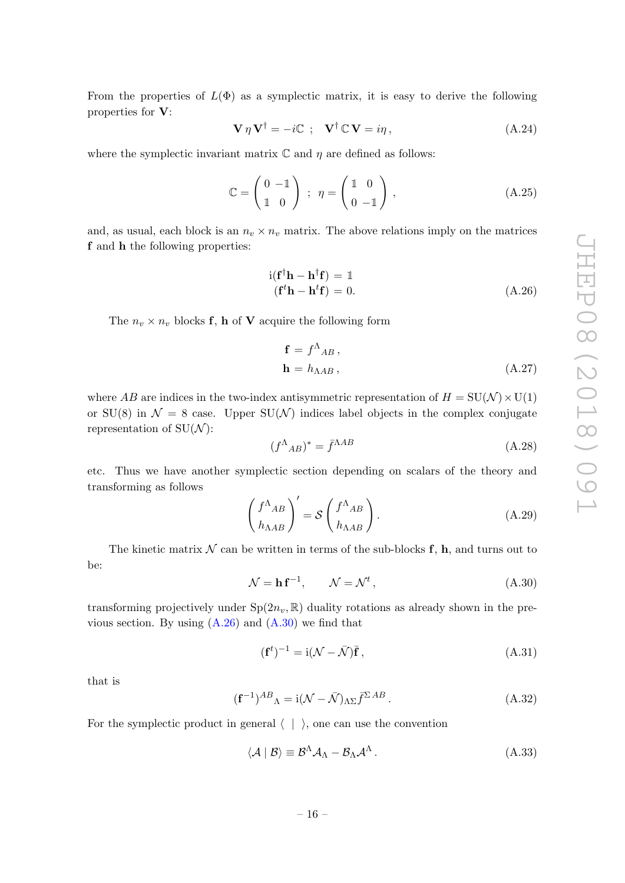From the properties of  $L(\Phi)$  as a symplectic matrix, it is easy to derive the following properties for V:

$$
\mathbf{V}\,\eta\,\mathbf{V}^{\dagger} = -i\mathbb{C} \, \; ; \quad \mathbf{V}^{\dagger}\,\mathbb{C}\,\mathbf{V} = i\eta \,, \tag{A.24}
$$

where the symplectic invariant matrix  $\mathbb C$  and  $\eta$  are defined as follows:

$$
\mathbb{C} = \begin{pmatrix} 0 & -1 \\ 1 & 0 \end{pmatrix} ; \eta = \begin{pmatrix} 1 & 0 \\ 0 & -1 \end{pmatrix}, \qquad (A.25)
$$

and, as usual, each block is an  $n_v \times n_v$  matrix. The above relations imply on the matrices f and h the following properties:

<span id="page-16-0"></span>
$$
i(\mathbf{f}^{\dagger}\mathbf{h} - \mathbf{h}^{\dagger}\mathbf{f}) = \mathbb{1}
$$
  
( $\mathbf{f}^{\dagger}\mathbf{h} - \mathbf{h}^{\dagger}\mathbf{f}$ ) = 0. (A.26)

The  $n_v \times n_v$  blocks **f**, **h** of **V** acquire the following form

$$
\mathbf{f} = f^{\Lambda}{}_{AB}, \n\mathbf{h} = h_{\Lambda AB},
$$
\n(A.27)

where AB are indices in the two-index antisymmetric representation of  $H = SU(N) \times U(1)$ or SU(8) in  $\mathcal{N} = 8$  case. Upper SU(N) indices label objects in the complex conjugate representation of  $SU(N)$ :

$$
(f^{\Lambda}{}_{AB})^* = \bar{f}^{\Lambda AB} \tag{A.28}
$$

etc. Thus we have another symplectic section depending on scalars of the theory and transforming as follows

$$
\left(\frac{f^{\Lambda}{}_{AB}}{h_{\Lambda AB}}\right)' = \mathcal{S}\left(\frac{f^{\Lambda}{}_{AB}}{h_{\Lambda AB}}\right). \tag{A.29}
$$

The kinetic matrix  $\mathcal N$  can be written in terms of the sub-blocks  $f$ , h, and turns out to be:

<span id="page-16-1"></span>
$$
\mathcal{N} = \mathbf{h} \, \mathbf{f}^{-1}, \qquad \mathcal{N} = \mathcal{N}^t \,, \tag{A.30}
$$

transforming projectively under  $Sp(2n_v, \mathbb{R})$  duality rotations as already shown in the previous section. By using  $(A.26)$  and  $(A.30)$  we find that

$$
(\mathbf{f}^t)^{-1} = \mathrm{i}(\mathcal{N} - \bar{\mathcal{N}})\bar{\mathbf{f}},\tag{A.31}
$$

that is

<span id="page-16-2"></span>
$$
(\mathbf{f}^{-1})^{AB}_{\ \Lambda} = \mathrm{i}(\mathcal{N} - \bar{\mathcal{N}})_{\Lambda\Sigma}\bar{f}^{\Sigma\,AB} \,. \tag{A.32}
$$

For the symplectic product in general  $\langle | \rangle$ , one can use the convention

$$
\langle \mathcal{A} | \mathcal{B} \rangle \equiv \mathcal{B}^{\Lambda} \mathcal{A}_{\Lambda} - \mathcal{B}_{\Lambda} \mathcal{A}^{\Lambda} \,. \tag{A.33}
$$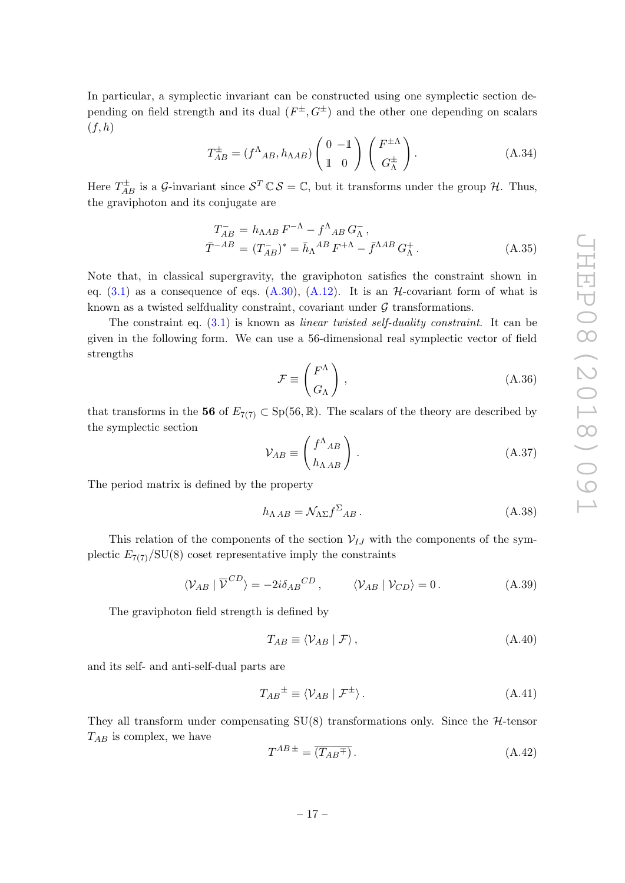In particular, a symplectic invariant can be constructed using one symplectic section depending on field strength and its dual  $(F^{\pm}, G^{\pm})$  and the other one depending on scalars  $(f, h)$ 

<span id="page-17-0"></span>
$$
T_{AB}^{\pm} = (f^{\Lambda}_{AB}, h_{\Lambda AB}) \begin{pmatrix} 0 & -\mathbb{1} \\ \mathbb{1} & 0 \end{pmatrix} \begin{pmatrix} F^{\pm \Lambda} \\ G^{\pm}_{\Lambda} \end{pmatrix} .
$$
 (A.34)

Here  $T_{AB}^{\pm}$  is a G-invariant since  $S^T \mathbb{C} S = \mathbb{C}$ , but it transforms under the group H. Thus, the graviphoton and its conjugate are

<span id="page-17-1"></span>
$$
T_{AB}^{-} = h_{\Lambda AB} F^{-\Lambda} - f^{\Lambda}{}_{AB} G_{\Lambda}^{-},
$$
  

$$
\bar{T}^{-AB} = (T_{AB}^{-})^* = \bar{h}_{\Lambda}{}^{AB} F^{+\Lambda} - \bar{f}^{\Lambda AB} G_{\Lambda}^{+}.
$$
 (A.35)

Note that, in classical supergravity, the graviphoton satisfies the constraint shown in eq.  $(3.1)$  as a consequence of eqs.  $(A.30)$ ,  $(A.12)$ . It is an H-covariant form of what is known as a twisted selfduality constraint, covariant under  $G$  transformations.

The constraint eq.  $(3.1)$  is known as *linear twisted self-duality constraint*. It can be given in the following form. We can use a 56-dimensional real symplectic vector of field strengths

$$
\mathcal{F} \equiv \begin{pmatrix} F^{\Lambda} \\ G_{\Lambda} \end{pmatrix}, \tag{A.36}
$$

that transforms in the 56 of  $E_{7(7)} \subset Sp(56, \mathbb{R})$ . The scalars of the theory are described by the symplectic section

$$
\mathcal{V}_{AB} \equiv \begin{pmatrix} f^{\Lambda}{}_{AB} \\ h_{\Lambda\,AB} \end{pmatrix} . \tag{A.37}
$$

The period matrix is defined by the property

$$
h_{\Lambda AB} = \mathcal{N}_{\Lambda \Sigma} f^{\Sigma}{}_{AB} \,. \tag{A.38}
$$

This relation of the components of the section  $V_{IJ}$  with the components of the symplectic  $E_{7(7)}/SU(8)$  coset representative imply the constraints

$$
\langle \mathcal{V}_{AB} | \overline{\mathcal{V}}^{CD} \rangle = -2i \delta_{AB}{}^{CD}, \qquad \langle \mathcal{V}_{AB} | \mathcal{V}_{CD} \rangle = 0.
$$
 (A.39)

The graviphoton field strength is defined by

<span id="page-17-2"></span>
$$
T_{AB} \equiv \langle \mathcal{V}_{AB} | \mathcal{F} \rangle, \tag{A.40}
$$

and its self- and anti-self-dual parts are

$$
T_{AB}^{\pm} \equiv \langle V_{AB} | \mathcal{F}^{\pm} \rangle. \tag{A.41}
$$

They all transform under compensating  $SU(8)$  transformations only. Since the H-tensor  $T_{AB}$  is complex, we have

$$
T^{AB \pm} = \overline{(T_{AB}^{\mp})} \,. \tag{A.42}
$$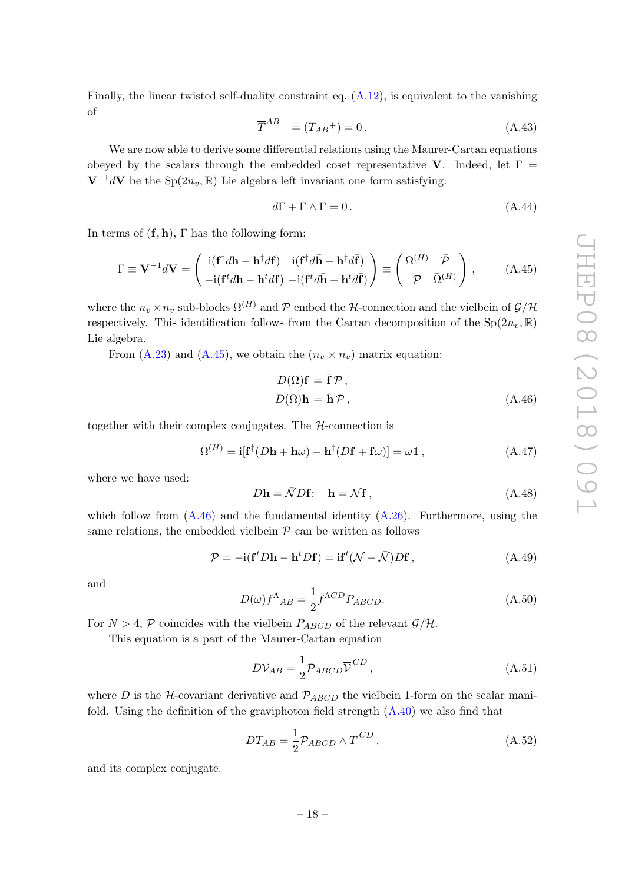Finally, the linear twisted self-duality constraint eq.  $(A.12)$ , is equivalent to the vanishing of

$$
\overline{T}^{AB} = \overline{(T_{AB}^+)} = 0. \tag{A.43}
$$

We are now able to derive some differential relations using the Maurer-Cartan equations obeyed by the scalars through the embedded coset representative V. Indeed, let  $\Gamma =$  $V^{-1}dV$  be the Sp(2n<sub>v</sub>, R) Lie algebra left invariant one form satisfying:

$$
d\Gamma + \Gamma \wedge \Gamma = 0. \tag{A.44}
$$

In terms of  $(f, h)$ ,  $\Gamma$  has the following form:

<span id="page-18-0"></span>
$$
\Gamma \equiv \mathbf{V}^{-1}d\mathbf{V} = \begin{pmatrix} \mathrm{i}(\mathbf{f}^{\dagger}d\mathbf{h} - \mathbf{h}^{\dagger}d\mathbf{f}) & \mathrm{i}(\mathbf{f}^{\dagger}d\bar{\mathbf{h}} - \mathbf{h}^{\dagger}d\bar{\mathbf{f}}) \\ -\mathrm{i}(\mathbf{f}^{\dagger}d\mathbf{h} - \mathbf{h}^{\dagger}d\mathbf{f}) & -\mathrm{i}(\mathbf{f}^{\dagger}d\bar{\mathbf{h}} - \mathbf{h}^{\dagger}d\bar{\mathbf{f}}) \end{pmatrix} \equiv \begin{pmatrix} \Omega^{(H)} & \bar{\mathcal{P}} \\ \mathcal{P} & \bar{\Omega}^{(H)} \end{pmatrix}, \quad (A.45)
$$

where the  $n_v \times n_v$  sub-blocks  $\Omega^{(H)}$  and P embed the H-connection and the vielbein of  $\mathcal{G}/\mathcal{H}$ respectively. This identification follows from the Cartan decomposition of the  $Sp(2n_v, \mathbb{R})$ Lie algebra.

From [\(A.23\)](#page-15-0) and [\(A.45\)](#page-18-0), we obtain the  $(n_v \times n_v)$  matrix equation:

<span id="page-18-1"></span>
$$
D(\Omega)\mathbf{f} = \bar{\mathbf{f}} \mathcal{P},
$$
  
\n
$$
D(\Omega)\mathbf{h} = \bar{\mathbf{h}} \mathcal{P},
$$
\n(A.46)

together with their complex conjugates. The  $H$ -connection is

$$
\Omega^{(H)} = i[\mathbf{f}^{\dagger}(D\mathbf{h} + \mathbf{h}\omega) - \mathbf{h}^{\dagger}(D\mathbf{f} + \mathbf{f}\omega)] = \omega \mathbb{1},\tag{A.47}
$$

where we have used:

$$
D\mathbf{h} = \bar{\mathcal{N}} D\mathbf{f}; \quad \mathbf{h} = \mathcal{N}\mathbf{f}, \tag{A.48}
$$

which follow from  $(A.46)$  and the fundamental identity  $(A.26)$ . Furthermore, using the same relations, the embedded vielbein  $P$  can be written as follows

$$
\mathcal{P} = -i(\mathbf{f}^t D \mathbf{h} - \mathbf{h}^t D \mathbf{f}) = i\mathbf{f}^t (\mathcal{N} - \bar{\mathcal{N}}) D \mathbf{f}, \qquad (A.49)
$$

and

$$
D(\omega)f^{\Lambda}{}_{AB} = \frac{1}{2}\bar{f}^{\Lambda CD}P_{ABCD}.\tag{A.50}
$$

For  $N > 4$ , P coincides with the vielbein  $P_{ABCD}$  of the relevant  $\mathcal{G}/\mathcal{H}$ .

This equation is a part of the Maurer-Cartan equation

$$
D\mathcal{V}_{AB} = \frac{1}{2} \mathcal{P}_{ABCD} \overline{\mathcal{V}}^{CD}, \qquad (A.51)
$$

where D is the H-covariant derivative and  $\mathcal{P}_{ABCD}$  the vielbein 1-form on the scalar manifold. Using the definition of the graviphoton field strength  $(A.40)$  we also find that

$$
DT_{AB} = \frac{1}{2} \mathcal{P}_{ABCD} \wedge \overline{T}^{CD}, \qquad (A.52)
$$

and its complex conjugate.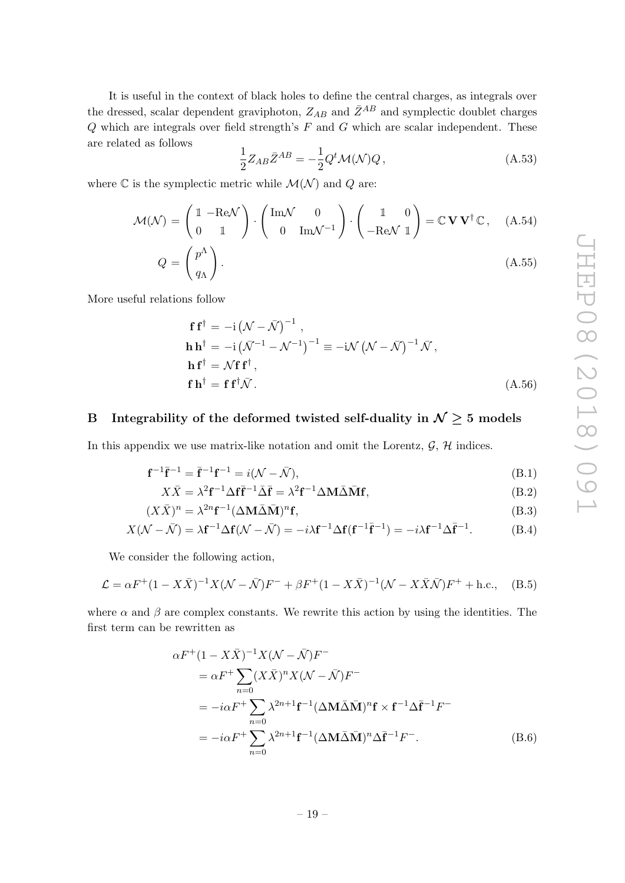It is useful in the context of black holes to define the central charges, as integrals over the dressed, scalar dependent graviphoton,  $Z_{AB}$  and  $\bar{Z}^{AB}$  and symplectic doublet charges  $Q$  which are integrals over field strength's  $F$  and  $G$  which are scalar independent. These are related as follows

$$
\frac{1}{2}Z_{AB}\bar{Z}^{AB} = -\frac{1}{2}Q^t\mathcal{M}(\mathcal{N})Q\,,\tag{A.53}
$$

where  $\mathbb C$  is the symplectic metric while  $\mathcal M(\mathcal N)$  and  $Q$  are:

$$
\mathcal{M}(\mathcal{N}) = \begin{pmatrix} 1 & -\text{Re}\mathcal{N} \\ 0 & 1 \end{pmatrix} \cdot \begin{pmatrix} \text{Im}\mathcal{N} & 0 \\ 0 & \text{Im}\mathcal{N}^{-1} \end{pmatrix} \cdot \begin{pmatrix} 1 & 0 \\ -\text{Re}\mathcal{N} & 1 \end{pmatrix} = \mathbb{C}\mathbf{V}\mathbf{V}^{\dagger}\mathbb{C}, \quad (A.54)
$$

$$
Q = \begin{pmatrix} P^* \\ q_{\Lambda} \end{pmatrix} . \tag{A.55}
$$

More useful relations follow

$$
\mathbf{f} \mathbf{f}^{\dagger} = -\mathrm{i} \left( \mathcal{N} - \bar{\mathcal{N}} \right)^{-1},
$$
\n
$$
\mathbf{h} \mathbf{h}^{\dagger} = -\mathrm{i} \left( \bar{\mathcal{N}}^{-1} - \mathcal{N}^{-1} \right)^{-1} \equiv -\mathrm{i} \mathcal{N} \left( \mathcal{N} - \bar{\mathcal{N}} \right)^{-1} \bar{\mathcal{N}},
$$
\n
$$
\mathbf{h} \mathbf{f}^{\dagger} = \mathcal{N} \mathbf{f} \mathbf{f}^{\dagger},
$$
\n
$$
\mathbf{f} \mathbf{h}^{\dagger} = \mathbf{f} \mathbf{f}^{\dagger} \bar{\mathcal{N}}.
$$
\n(A.56)

## <span id="page-19-0"></span>B Integrability of the deformed twisted self-duality in  $\mathcal{N} \geq 5$  models

In this appendix we use matrix-like notation and omit the Lorentz,  $\mathcal{G}, \mathcal{H}$  indices.

$$
\mathbf{f}^{-1}\bar{\mathbf{f}}^{-1} = \bar{\mathbf{f}}^{-1}\mathbf{f}^{-1} = i(\mathcal{N} - \bar{\mathcal{N}}),
$$
\n(B.1)

$$
X\bar{X} = \lambda^2 \mathbf{f}^{-1} \Delta \mathbf{f} \bar{\mathbf{f}}^{-1} \bar{\Delta} \bar{\mathbf{f}} = \lambda^2 \mathbf{f}^{-1} \Delta \mathbf{M} \bar{\Delta} \bar{\mathbf{M}} \mathbf{f},
$$
(B.2)

$$
(X\bar{X})^n = \lambda^{2n} \mathbf{f}^{-1} (\Delta \mathbf{M} \bar{\Delta} \bar{\mathbf{M}})^n \mathbf{f},\tag{B.3}
$$

$$
X(\mathcal{N} - \bar{\mathcal{N}}) = \lambda \mathbf{f}^{-1} \Delta \mathbf{f}(\mathcal{N} - \bar{\mathcal{N}}) = -i\lambda \mathbf{f}^{-1} \Delta \mathbf{f}(\mathbf{f}^{-1} \bar{\mathbf{f}}^{-1}) = -i\lambda \mathbf{f}^{-1} \Delta \bar{\mathbf{f}}^{-1}.
$$
 (B.4)

We consider the following action,

$$
\mathcal{L} = \alpha F^{+} (1 - X\bar{X})^{-1} X (\mathcal{N} - \bar{\mathcal{N}}) F^{-} + \beta F^{+} (1 - X\bar{X})^{-1} (\mathcal{N} - X\bar{X}\bar{\mathcal{N}}) F^{+} + \text{h.c.}, \quad (B.5)
$$

where  $\alpha$  and  $\beta$  are complex constants. We rewrite this action by using the identities. The first term can be rewritten as

$$
\alpha F^{+}(1 - X\bar{X})^{-1}X(\mathcal{N} - \bar{\mathcal{N}})F^{-}
$$
  
\n
$$
= \alpha F^{+} \sum_{n=0} (X\bar{X})^{n} X(\mathcal{N} - \bar{\mathcal{N}})F^{-}
$$
  
\n
$$
= -i\alpha F^{+} \sum_{n=0} \lambda^{2n+1} \mathbf{f}^{-1} (\Delta \mathbf{M} \bar{\Delta} \bar{\mathbf{M}})^{n} \mathbf{f} \times \mathbf{f}^{-1} \Delta \bar{\mathbf{f}}^{-1} F^{-}
$$
  
\n
$$
= -i\alpha F^{+} \sum_{n=0} \lambda^{2n+1} \mathbf{f}^{-1} (\Delta \mathbf{M} \bar{\Delta} \bar{\mathbf{M}})^{n} \Delta \bar{\mathbf{f}}^{-1} F^{-}.
$$
 (B.6)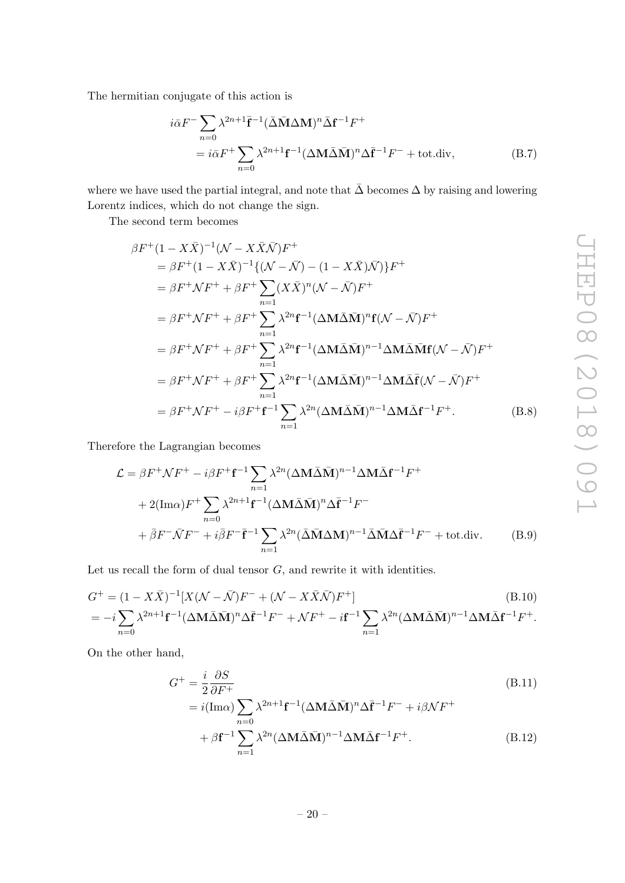The hermitian conjugate of this action is

$$
i\bar{\alpha}F^{-}\sum_{n=0} \lambda^{2n+1}\bar{\mathbf{f}}^{-1}(\bar{\Delta}\bar{\mathbf{M}}\Delta\mathbf{M})^{n}\bar{\Delta}\mathbf{f}^{-1}F^{+}
$$
  
=  $i\bar{\alpha}F^{+}\sum_{n=0} \lambda^{2n+1}\mathbf{f}^{-1}(\Delta\mathbf{M}\bar{\Delta}\bar{\mathbf{M}})^{n}\Delta\bar{\mathbf{f}}^{-1}F^{-} + \text{tot.div},$  (B.7)

where we have used the partial integral, and note that  $\bar{\Delta}$  becomes  $\Delta$  by raising and lowering Lorentz indices, which do not change the sign.

The second term becomes

$$
\beta F^{+}(1 - X\bar{X})^{-1}(\mathcal{N} - X\bar{X}\bar{\mathcal{N}})F^{+}
$$
\n
$$
= \beta F^{+}(1 - X\bar{X})^{-1}\{(\mathcal{N} - \bar{\mathcal{N}}) - (1 - X\bar{X})\bar{\mathcal{N}})\}F^{+}
$$
\n
$$
= \beta F^{+}\mathcal{N}F^{+} + \beta F^{+}\sum_{n=1}^{n=1} (X\bar{X})^{n}(\mathcal{N} - \bar{\mathcal{N}})F^{+}
$$
\n
$$
= \beta F^{+}\mathcal{N}F^{+} + \beta F^{+}\sum_{n=1}^{n=1} \lambda^{2n} \mathbf{f}^{-1}(\Delta M\bar{\Delta}\bar{\mathbf{M}})^{n} \mathbf{f}(\mathcal{N} - \bar{\mathcal{N}})F^{+}
$$
\n
$$
= \beta F^{+}\mathcal{N}F^{+} + \beta F^{+}\sum_{n=1}^{n=1} \lambda^{2n} \mathbf{f}^{-1}(\Delta M\bar{\Delta}\bar{\mathbf{M}})^{n-1}\Delta M\bar{\Delta}\bar{\mathbf{f}}(\mathcal{N} - \bar{\mathcal{N}})F^{+}
$$
\n
$$
= \beta F^{+}\mathcal{N}F^{+} + \beta F^{+}\sum_{n=1}^{n=1} \lambda^{2n} \mathbf{f}^{-1}(\Delta M\bar{\Delta}\bar{\mathbf{M}})^{n-1}\Delta M\bar{\Delta}\bar{\mathbf{f}}(\mathcal{N} - \bar{\mathcal{N}})F^{+}
$$
\n
$$
= \beta F^{+}\mathcal{N}F^{+} - i\beta F^{+}\mathbf{f}^{-1}\sum_{n=1}^{n=1} \lambda^{2n}(\Delta M\bar{\Delta}\bar{\mathbf{M}})^{n-1}\Delta M\bar{\Delta}\mathbf{f}^{-1}F^{+}.
$$
\n(B.8)

Therefore the Lagrangian becomes

$$
\mathcal{L} = \beta F^{+} \mathcal{N} F^{+} - i \beta F^{+} \mathbf{f}^{-1} \sum_{n=1}^{\infty} \lambda^{2n} (\Delta \mathbf{M} \bar{\Delta} \bar{\mathbf{M}})^{n-1} \Delta \mathbf{M} \bar{\Delta} \mathbf{f}^{-1} F^{+}
$$
  
+ 2(Im $\alpha$ )  $F^{+} \sum_{n=0}^{\infty} \lambda^{2n+1} \mathbf{f}^{-1} (\Delta \mathbf{M} \bar{\Delta} \bar{\mathbf{M}})^{n} \Delta \bar{\mathbf{f}}^{-1} F^{-}$   
+  $\bar{\beta} F^{-} \bar{\mathcal{N}} F^{-} + i \bar{\beta} F^{-} \bar{\mathbf{f}}^{-1} \sum_{n=1}^{\infty} \lambda^{2n} (\bar{\Delta} \bar{\mathbf{M}} \Delta \mathbf{M})^{n-1} \bar{\Delta} \bar{\mathbf{M}} \Delta \bar{\mathbf{f}}^{-1} F^{-} + \text{tot.div.}$  (B.9)

Let us recall the form of dual tensor  $G$ , and rewrite it with identities.

$$
G^{+} = (1 - X\bar{X})^{-1}[X(\mathcal{N} - \bar{\mathcal{N}})F^{-} + (\mathcal{N} - X\bar{X}\bar{\mathcal{N}})F^{+}]
$$
(B.10)  
=  $-i\sum_{n=0} \lambda^{2n+1} \mathbf{f}^{-1} (\Delta \mathbf{M} \bar{\Delta} \bar{\mathbf{M}})^{n} \Delta \bar{\mathbf{f}}^{-1} F^{-} + \mathcal{N} F^{+} - i \mathbf{f}^{-1} \sum_{n=1} \lambda^{2n} (\Delta \mathbf{M} \bar{\Delta} \bar{\mathbf{M}})^{n-1} \Delta \mathbf{M} \bar{\Delta} \mathbf{f}^{-1} F^{+}.$ 

On the other hand,

$$
G^{+} = \frac{i}{2} \frac{\partial S}{\partial F^{+}}
$$
  
=  $i(\text{Im}\alpha) \sum_{n=0} \lambda^{2n+1} \mathbf{f}^{-1} (\Delta \mathbf{M} \bar{\Delta} \bar{\mathbf{M}})^{n} \Delta \bar{\mathbf{f}}^{-1} F^{-} + i\beta \mathcal{N} F^{+}$   
+  $\beta \mathbf{f}^{-1} \sum_{n=1} \lambda^{2n} (\Delta \mathbf{M} \bar{\Delta} \bar{\mathbf{M}})^{n-1} \Delta \mathbf{M} \bar{\Delta} \mathbf{f}^{-1} F^{+}.$  (B.12)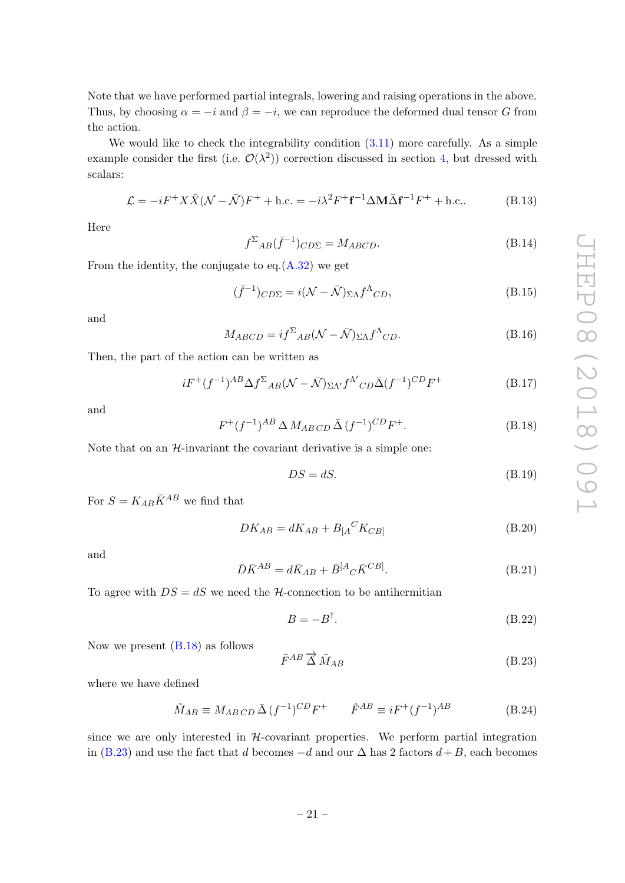Note that we have performed partial integrals, lowering and raising operations in the above. Thus, by choosing  $\alpha = -i$  and  $\beta = -i$ , we can reproduce the deformed dual tensor G from the action.

We would like to check the integrability condition  $(3.11)$  more carefully. As a simple example consider the first (i.e.  $\mathcal{O}(\lambda^2)$ ) correction discussed in section [4,](#page-8-0) but dressed with scalars:

$$
\mathcal{L} = -iF^{+}X\bar{X}(\mathcal{N} - \bar{\mathcal{N}})F^{+} + \text{h.c.} = -i\lambda^{2}F^{+}\mathbf{f}^{-1}\Delta\mathbf{M}\bar{\Delta}\mathbf{f}^{-1}F^{+} + \text{h.c.} \tag{B.13}
$$

Here

$$
f^{\Sigma}{}_{AB}(\bar{f}^{-1}){}_{C D \Sigma} = M_{ABCD}.\tag{B.14}
$$

From the identity, the conjugate to  $eq. (A.32)$  $eq. (A.32)$  we get

$$
(\bar{f}^{-1})_{C D \Sigma} = i(\mathcal{N} - \bar{\mathcal{N}})_{\Sigma \Lambda} f^{\Lambda}{}_{CD},
$$
\n(B.15)

and

$$
M_{ABCD} = i f^{\Sigma}{}_{AB} (\mathcal{N} - \bar{\mathcal{N}})_{\Sigma \Lambda} f^{\Lambda}{}_{CD}.
$$
 (B.16)

Then, the part of the action can be written as

$$
iF^+(f^{-1})^{AB}\Delta f^{\Sigma}{}_{AB}(\mathcal{N}-\bar{\mathcal{N}})_{\Sigma\Lambda'}f^{\Lambda'}{}_{CD}\bar{\Delta}(f^{-1})^{CD}F^+\tag{B.17}
$$

and

<span id="page-21-0"></span>
$$
F^+(f^{-1})^{AB} \Delta M_{ABCD} \bar{\Delta} (f^{-1})^{CD} F^+.
$$
 (B.18)

Note that on an  $H$ -invariant the covariant derivative is a simple one:

$$
DS = dS. \tag{B.19}
$$

For  $S = K_{AB} \bar{K}^{AB}$  we find that

$$
DK_{AB} = dK_{AB} + B_{[A}{}^{C}K_{CB]}
$$
 (B.20)

and

$$
\bar{D}\bar{K}^{AB} = d\bar{K}_{AB} + \bar{B}^{[A}{}_{C}\bar{K}^{CB]}.
$$
\n(B.21)

To agree with  $DS = dS$  we need the H-connection to be antihermitian

$$
B = -B^{\dagger}.
$$
 (B.22)

Now we present [\(B.18\)](#page-21-0) as follows

<span id="page-21-1"></span>
$$
\tilde{F}^{AB} \, \overrightarrow{\Delta} \, \tilde{M}_{AB} \tag{B.23}
$$

where we have defined

$$
\tilde{M}_{AB} \equiv M_{ABCD} \,\bar{\Delta} \,(f^{-1})^{CD} F^+ \qquad \tilde{F}^{AB} \equiv i F^+ (f^{-1})^{AB} \tag{B.24}
$$

since we are only interested in  $H$ -covariant properties. We perform partial integration in [\(B.23\)](#page-21-1) and use the fact that d becomes  $-d$  and our  $\Delta$  has 2 factors  $d+B$ , each becomes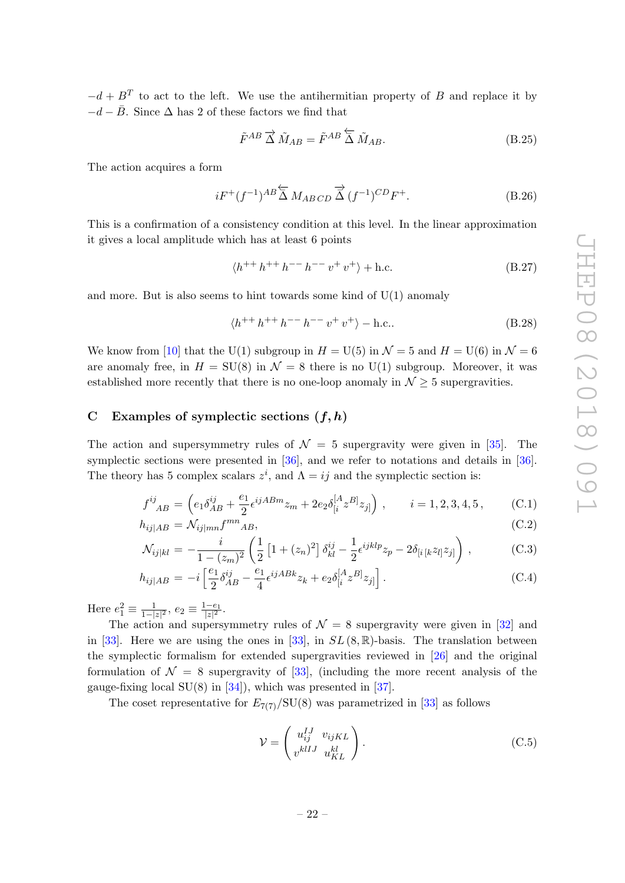$-d + B<sup>T</sup>$  to act to the left. We use the antihermitian property of B and replace it by  $-d-\bar{B}$ . Since  $\Delta$  has 2 of these factors we find that

$$
\tilde{F}^{AB} \overrightarrow{\Delta} \tilde{M}_{AB} = \tilde{F}^{AB} \overleftarrow{\Delta} \tilde{M}_{AB}.
$$
\n(B.25)

The action acquires a form

$$
iF^+(f^{-1})^{AB} \overleftarrow{\Delta} M_{ABCD} \overrightarrow{\Delta} (f^{-1})^{CD} F^+.
$$
 (B.26)

This is a confirmation of a consistency condition at this level. In the linear approximation it gives a local amplitude which has at least 6 points

$$
\langle h^{++} h^{++} h^{--} h^{--} v^+ v^+ \rangle + \text{h.c.} \tag{B.27}
$$

and more. But is also seems to hint towards some kind of  $U(1)$  anomaly

$$
\langle h^{++}h^{++}h^{--}h^{--}v^+v^+\rangle - \text{h.c.} \tag{B.28}
$$

We know from [\[10\]](#page-24-9) that the U(1) subgroup in  $H = U(5)$  in  $\mathcal{N} = 5$  and  $H = U(6)$  in  $\mathcal{N} = 6$ are anomaly free, in  $H = SU(8)$  in  $\mathcal{N} = 8$  there is no U(1) subgroup. Moreover, it was established more recently that there is no one-loop anomaly in  $\mathcal{N} \geq 5$  supergravities.

#### <span id="page-22-0"></span>C Examples of symplectic sections  $(f, h)$

The action and supersymmetry rules of  $\mathcal{N} = 5$  supergravity were given in [\[35\]](#page-26-5). The symplectic sections were presented in [\[36\]](#page-26-6), and we refer to notations and details in [\[36\]](#page-26-6). The theory has 5 complex scalars  $z^i$ , and  $\Lambda = ij$  and the symplectic section is:

$$
f^{ij}_{AB} = \left(e_1 \delta_{AB}^{ij} + \frac{e_1}{2} \epsilon^{ijABm} z_m + 2e_2 \delta_{[i}^{[A} z^{B]} z_{j]} \right), \qquad i = 1, 2, 3, 4, 5, \tag{C.1}
$$

$$
h_{ij|AB} = \mathcal{N}_{ij|mn} f^{mn}{}_{AB},\tag{C.2}
$$

$$
\mathcal{N}_{ij|kl} = -\frac{i}{1 - (z_m)^2} \left( \frac{1}{2} \left[ 1 + (z_n)^2 \right] \delta_{kl}^{ij} - \frac{1}{2} \epsilon^{ijklp} z_p - 2\delta_{[i\,[k} z_{l]} z_{j]} \right), \tag{C.3}
$$

$$
h_{ij|AB} = -i \left[ \frac{e_1}{2} \delta^{ij}_{AB} - \frac{e_1}{4} \epsilon^{ijABk} z_k + e_2 \delta^{[A}_{[i} z^{B]} z_{j]} \right].
$$
 (C.4)

Here  $e_1^2 \equiv \frac{1}{1-|}$  $\frac{1}{1-|z|^2}, e_2 \equiv \frac{1-e_1}{|z|^2}.$ 

The action and supersymmetry rules of  $\mathcal{N} = 8$  supergravity were given in [\[32\]](#page-26-2) and in [\[33\]](#page-26-3). Here we are using the ones in [33], in  $SL(8,\mathbb{R})$ -basis. The translation between the symplectic formalism for extended supergravities reviewed in [\[26\]](#page-25-15) and the original formulation of  $\mathcal{N} = 8$  supergravity of [\[33\]](#page-26-3), (including the more recent analysis of the gauge-fixing local  $SU(8)$  in [\[34\]](#page-26-4)), which was presented in [\[37\]](#page-26-7).

The coset representative for  $E_{7(7)}/SU(8)$  was parametrized in [\[33\]](#page-26-3) as follows

$$
\mathcal{V} = \begin{pmatrix} u_{ij}^{IJ} & v_{ijKL} \\ v^{klIJ} & u_{KL}^{kl} \end{pmatrix} .
$$
 (C.5)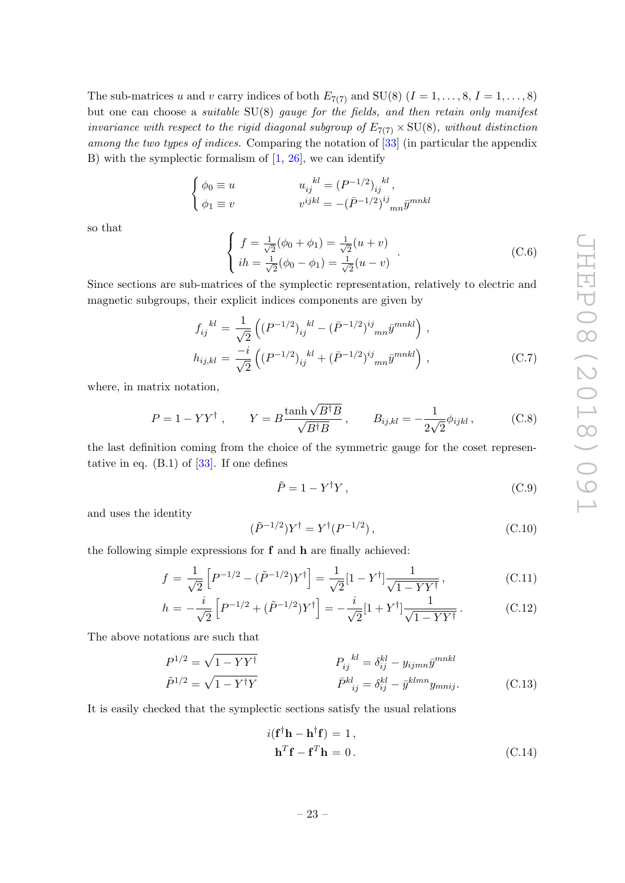The sub-matrices u and v carry indices of both  $E_{7(7)}$  and SU(8) ( $I = 1, \ldots, 8, I = 1, \ldots, 8$ ) but one can choose a suitable SU(8) gauge for the fields, and then retain only manifest invariance with respect to the rigid diagonal subgroup of  $E_{7(7)} \times SU(8)$ , without distinction among the two types of indices. Comparing the notation of [\[33\]](#page-26-3) (in particular the appendix B) with the symplectic formalism of  $[1, 26]$  $[1, 26]$ , we can identify

$$
\label{eq:2} \left\{ \begin{aligned} \phi_0 &\equiv u \qquad & u_{ij}^{\quad \ kl} = (P^{-1/2})_{ij}^{\quad \ kl}, \\ \phi_1 &\equiv v \qquad & v^{ijkl} = -(\bar{P}^{-1/2})^{ij}_{\quad \ m n} \bar{y}^{mnkl} \end{aligned} \right.
$$

so that

$$
\begin{cases}\nf = \frac{1}{\sqrt{2}}(\phi_0 + \phi_1) = \frac{1}{\sqrt{2}}(u+v) \\
ih = \frac{1}{\sqrt{2}}(\phi_0 - \phi_1) = \frac{1}{\sqrt{2}}(u-v)\n\end{cases} (C.6)
$$

Since sections are sub-matrices of the symplectic representation, relatively to electric and magnetic subgroups, their explicit indices components are given by

$$
f_{ij}^{kl} = \frac{1}{\sqrt{2}} \left( (P^{-1/2})_{ij}^{kl} - (\bar{P}^{-1/2})_{imn}^{ij} \bar{y}^{mnkl} \right),
$$
  
\n
$$
h_{ij,kl} = \frac{-i}{\sqrt{2}} \left( (P^{-1/2})_{ij}^{kl} + (\bar{P}^{-1/2})_{imn}^{ij} \bar{y}^{mnkl} \right),
$$
\n(C.7)

where, in matrix notation,

$$
P = 1 - YY^{\dagger} , \qquad Y = B \frac{\tanh \sqrt{B^{\dagger}B}}{\sqrt{B^{\dagger}B}} , \qquad B_{ij,kl} = -\frac{1}{2\sqrt{2}} \phi_{ijkl} , \qquad (C.8)
$$

the last definition coming from the choice of the symmetric gauge for the coset representative in eq.  $(B.1)$  of  $[33]$ . If one defines

$$
\tilde{P} = 1 - Y^{\dagger} Y, \qquad (C.9)
$$

and uses the identity

$$
(\tilde{P}^{-1/2})Y^{\dagger} = Y^{\dagger}(P^{-1/2}), \qquad (C.10)
$$

the following simple expressions for f and h are finally achieved:

<span id="page-23-0"></span>
$$
f = \frac{1}{\sqrt{2}} \left[ P^{-1/2} - (\tilde{P}^{-1/2}) Y^{\dagger} \right] = \frac{1}{\sqrt{2}} [1 - Y^{\dagger}] \frac{1}{\sqrt{1 - Y Y^{\dagger}}},
$$
(C.11)

$$
h = -\frac{i}{\sqrt{2}} \left[ P^{-1/2} + (\tilde{P}^{-1/2}) Y^{\dagger} \right] = -\frac{i}{\sqrt{2}} [1 + Y^{\dagger}] \frac{1}{\sqrt{1 - Y Y^{\dagger}}}.
$$
 (C.12)

The above notations are such that

$$
P_{ij}^{1/2} = \sqrt{1 - YY^{\dagger}}
$$
\n
$$
\tilde{P}_{ij}^{kl} = \delta_{ij}^{kl} - y_{ijmn}\bar{y}^{mnkl}
$$
\n
$$
\tilde{P}^{1/2} = \sqrt{1 - Y^{\dagger}Y}
$$
\n
$$
\bar{P}^{kl}_{ij} = \delta_{ij}^{kl} - \bar{y}^{klmn}y_{mnij}.
$$
\n(C.13)

It is easily checked that the symplectic sections satisfy the usual relations

$$
i(\mathbf{f}^{\dagger}\mathbf{h} - \mathbf{h}^{\dagger}\mathbf{f}) = 1,
$$
  

$$
\mathbf{h}^T\mathbf{f} - \mathbf{f}^T\mathbf{h} = 0.
$$
 (C.14)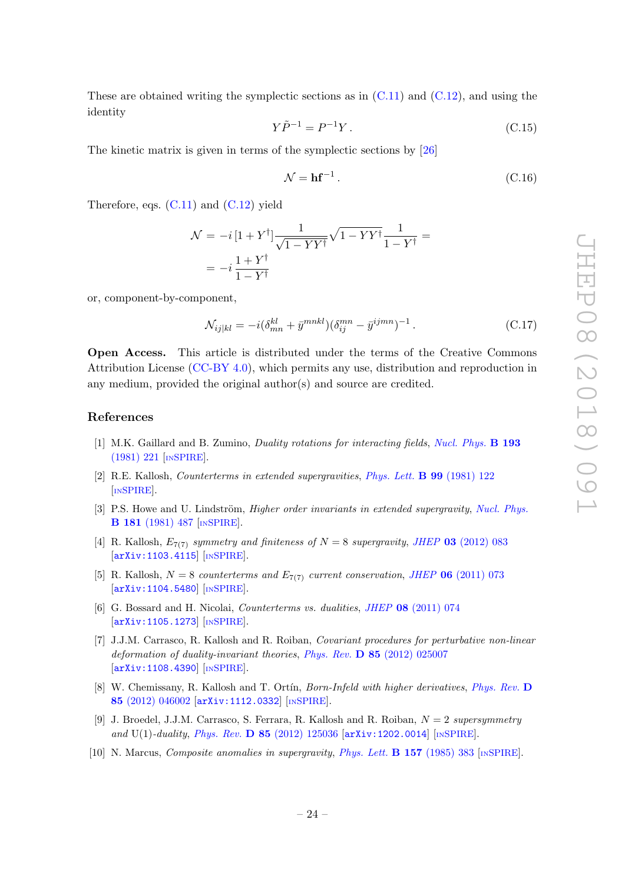These are obtained writing the symplectic sections as in  $(C.11)$  and  $(C.12)$ , and using the identity

$$
Y\tilde{P}^{-1} = P^{-1}Y. \tag{C.15}
$$

The kinetic matrix is given in terms of the symplectic sections by [\[26\]](#page-25-15)

$$
\mathcal{N} = \mathbf{h} \mathbf{f}^{-1} \,. \tag{C.16}
$$

Therefore, eqs.  $(C.11)$  and  $(C.12)$  yield

$$
\mathcal{N} = -i\left[1 + Y^{\dagger}\right] \frac{1}{\sqrt{1 - YY^{\dagger}}} \sqrt{1 - YY^{\dagger}} \frac{1}{1 - Y^{\dagger}} =
$$

$$
= -i\frac{1 + Y^{\dagger}}{1 - Y^{\dagger}}
$$

or, component-by-component,

$$
\mathcal{N}_{ij|kl} = -i(\delta_{mn}^{kl} + \bar{y}^{mnkl})(\delta_{ij}^{mn} - \bar{y}^{ijmn})^{-1}.
$$
\n(C.17)

Open Access. This article is distributed under the terms of the Creative Commons Attribution License [\(CC-BY 4.0\)](https://creativecommons.org/licenses/by/4.0/), which permits any use, distribution and reproduction in any medium, provided the original author(s) and source are credited.

#### References

- <span id="page-24-0"></span>[1] M.K. Gaillard and B. Zumino, Duality rotations for interacting fields, [Nucl. Phys.](https://doi.org/10.1016/0550-3213(81)90527-7) B 193 [\(1981\) 221](https://doi.org/10.1016/0550-3213(81)90527-7) [IN[SPIRE](https://inspirehep.net/search?p=find+J+%22Nucl.Phys.,B193,221%22)].
- <span id="page-24-1"></span>[2] R.E. Kallosh, Counterterms in extended supergravities, [Phys. Lett.](https://doi.org/10.1016/0370-2693(81)90964-3) B 99 (1981) 122 [IN[SPIRE](https://inspirehep.net/search?p=find+J+%22Phys.Lett.,B99,122%22)].
- <span id="page-24-2"></span>[3] P.S. Howe and U. Lindström, *Higher order invariants in extended supergravity*, *[Nucl. Phys.](https://doi.org/10.1016/0550-3213(81)90537-X)* B 181 [\(1981\) 487](https://doi.org/10.1016/0550-3213(81)90537-X) [IN[SPIRE](https://inspirehep.net/search?p=find+J+%22Nucl.Phys.,B181,487%22)].
- <span id="page-24-3"></span>[4] R. Kallosh,  $E_{7(7)}$  symmetry and finiteness of  $N = 8$  supergravity, JHEP 03 [\(2012\) 083](https://doi.org/10.1007/JHEP03(2012)083) [[arXiv:1103.4115](https://arxiv.org/abs/1103.4115)] [IN[SPIRE](https://inspirehep.net/search?p=find+EPRINT+arXiv:1103.4115)].
- <span id="page-24-4"></span>[5] R. Kallosh,  $N = 8$  counterterms and  $E_{7(7)}$  current conservation, JHEP 06 [\(2011\) 073](https://doi.org/10.1007/JHEP06(2011)073) [[arXiv:1104.5480](https://arxiv.org/abs/1104.5480)] [IN[SPIRE](https://inspirehep.net/search?p=find+EPRINT+arXiv:1104.5480)].
- <span id="page-24-5"></span>[6] G. Bossard and H. Nicolai, Counterterms vs. dualities, JHEP 08 [\(2011\) 074](https://doi.org/10.1007/JHEP08(2011)074) [[arXiv:1105.1273](https://arxiv.org/abs/1105.1273)] [IN[SPIRE](https://inspirehep.net/search?p=find+EPRINT+arXiv:1105.1273)].
- <span id="page-24-6"></span>[7] J.J.M. Carrasco, R. Kallosh and R. Roiban, Covariant procedures for perturbative non-linear deformation of duality-invariant theories, Phys. Rev. D 85 [\(2012\) 025007](https://doi.org/10.1103/PhysRevD.85.025007) [[arXiv:1108.4390](https://arxiv.org/abs/1108.4390)] [IN[SPIRE](https://inspirehep.net/search?p=find+EPRINT+arXiv:1108.4390)].
- <span id="page-24-7"></span>[8] W. Chemissany, R. Kallosh and T. Ortín, *Born-Infeld with higher derivatives, [Phys. Rev.](https://doi.org/10.1103/PhysRevD.85.046002)* D 85 [\(2012\) 046002](https://doi.org/10.1103/PhysRevD.85.046002) [[arXiv:1112.0332](https://arxiv.org/abs/1112.0332)] [IN[SPIRE](https://inspirehep.net/search?p=find+EPRINT+arXiv:1112.0332)].
- <span id="page-24-8"></span>[9] J. Broedel, J.J.M. Carrasco, S. Ferrara, R. Kallosh and R. Roiban,  $N = 2$  supersymmetry and U(1)-duality, Phys. Rev. D  $85$  [\(2012\) 125036](https://doi.org/10.1103/PhysRevD.85.125036) [[arXiv:1202.0014](https://arxiv.org/abs/1202.0014)] [IN[SPIRE](https://inspirehep.net/search?p=find+EPRINT+arXiv:1202.0014)].
- <span id="page-24-9"></span>[10] N. Marcus, Composite anomalies in supergravity, [Phys. Lett.](https://doi.org/10.1016/0370-2693(85)90385-5) B 157 (1985) 383 [IN[SPIRE](https://inspirehep.net/search?p=find+J+%22Phys.Lett.,B157,383%22)].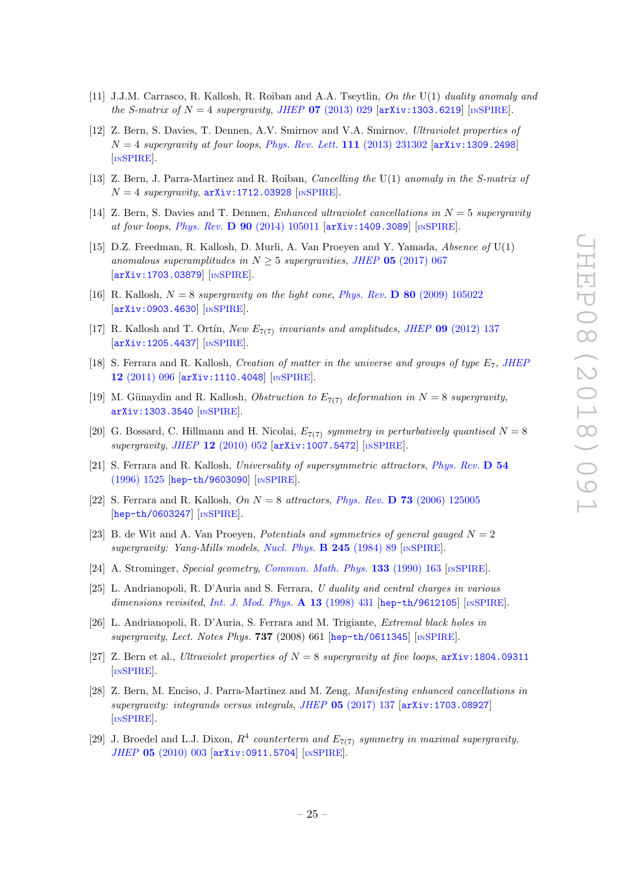- <span id="page-25-0"></span>[11] J.J.M. Carrasco, R. Kallosh, R. Roiban and A.A. Tseytlin, On the U(1) duality anomaly and the S-matrix of  $N = 4$  supergravity, JHEP **07** [\(2013\) 029](https://doi.org/10.1007/JHEP07(2013)029) [[arXiv:1303.6219](https://arxiv.org/abs/1303.6219)] [IN[SPIRE](https://inspirehep.net/search?p=find+EPRINT+arXiv:1303.6219)].
- <span id="page-25-1"></span>[12] Z. Bern, S. Davies, T. Dennen, A.V. Smirnov and V.A. Smirnov, Ultraviolet properties of  $N = 4$  supergravity at four loops, [Phys. Rev. Lett.](https://doi.org/10.1103/PhysRevLett.111.231302) 111 (2013) 231302 [[arXiv:1309.2498](https://arxiv.org/abs/1309.2498)] [IN[SPIRE](https://inspirehep.net/search?p=find+EPRINT+arXiv:1309.2498)].
- <span id="page-25-2"></span>[13] Z. Bern, J. Parra-Martinez and R. Roiban, Cancelling the U(1) anomaly in the S-matrix of  $N = 4$  supergravity,  $arXiv:1712.03928$  [IN[SPIRE](https://inspirehep.net/search?p=find+EPRINT+arXiv:1712.03928)].
- <span id="page-25-3"></span>[14] Z. Bern, S. Davies and T. Dennen, Enhanced ultraviolet cancellations in  $N = 5$  supergravity at four loops, Phys. Rev. D 90 [\(2014\) 105011](https://doi.org/10.1103/PhysRevD.90.105011) [[arXiv:1409.3089](https://arxiv.org/abs/1409.3089)] [IN[SPIRE](https://inspirehep.net/search?p=find+EPRINT+arXiv:1409.3089)].
- <span id="page-25-4"></span>[15] D.Z. Freedman, R. Kallosh, D. Murli, A. Van Proeyen and Y. Yamada, Absence of U(1) anomalous superamplitudes in  $N \geq 5$  supergravities, JHEP 05 [\(2017\) 067](https://doi.org/10.1007/JHEP05(2017)067) [[arXiv:1703.03879](https://arxiv.org/abs/1703.03879)] [IN[SPIRE](https://inspirehep.net/search?p=find+EPRINT+arXiv:1703.03879)].
- <span id="page-25-9"></span>[16] R. Kallosh,  $N = 8$  supergravity on the light cone, Phys. Rev. D 80 [\(2009\) 105022](https://doi.org/10.1103/PhysRevD.80.105022) [[arXiv:0903.4630](https://arxiv.org/abs/0903.4630)] [IN[SPIRE](https://inspirehep.net/search?p=find+EPRINT+arXiv:0903.4630)].
- <span id="page-25-5"></span>[17] R. Kallosh and T. Ortin, New  $E_{7(7)}$  invariants and amplitudes, JHEP 09 [\(2012\) 137](https://doi.org/10.1007/JHEP09(2012)137) [[arXiv:1205.4437](https://arxiv.org/abs/1205.4437)] [IN[SPIRE](https://inspirehep.net/search?p=find+EPRINT+arXiv:1205.4437)].
- <span id="page-25-6"></span>[18] S. Ferrara and R. Kallosh, Creation of matter in the universe and groups of type  $E_7$ , [JHEP](https://doi.org/10.1007/JHEP12(2011)096) 12 [\(2011\) 096](https://doi.org/10.1007/JHEP12(2011)096) [[arXiv:1110.4048](https://arxiv.org/abs/1110.4048)] [IN[SPIRE](https://inspirehep.net/search?p=find+EPRINT+arXiv:1110.4048)].
- <span id="page-25-7"></span>[19] M. Günaydin and R. Kallosh, *Obstruction to*  $E_{7(7)}$  *deformation in*  $N = 8$  supergravity, [arXiv:1303.3540](https://arxiv.org/abs/1303.3540) [IN[SPIRE](https://inspirehep.net/search?p=find+EPRINT+arXiv:1303.3540)].
- <span id="page-25-8"></span>[20] G. Bossard, C. Hillmann and H. Nicolai,  $E_{7(7)}$  symmetry in perturbatively quantised  $N = 8$ supergravity, JHEP 12 [\(2010\) 052](https://doi.org/10.1007/JHEP12(2010)052) [[arXiv:1007.5472](https://arxiv.org/abs/1007.5472)] [IN[SPIRE](https://inspirehep.net/search?p=find+EPRINT+arXiv:1007.5472)].
- <span id="page-25-10"></span>[21] S. Ferrara and R. Kallosh, Universality of supersymmetric attractors, [Phys. Rev.](https://doi.org/10.1103/PhysRevD.54.1525) D 54 [\(1996\) 1525](https://doi.org/10.1103/PhysRevD.54.1525) [[hep-th/9603090](https://arxiv.org/abs/hep-th/9603090)] [IN[SPIRE](https://inspirehep.net/search?p=find+EPRINT+hep-th/9603090)].
- <span id="page-25-11"></span>[22] S. Ferrara and R. Kallosh,  $On N = 8$  attractors, Phys. Rev. **D** 73 [\(2006\) 125005](https://doi.org/10.1103/PhysRevD.73.125005) [[hep-th/0603247](https://arxiv.org/abs/hep-th/0603247)] [IN[SPIRE](https://inspirehep.net/search?p=find+EPRINT+hep-th/0603247)].
- <span id="page-25-12"></span>[23] B. de Wit and A. Van Proeyen, *Potentials and symmetries of general gauged*  $N = 2$ supergravity: Yang-Mills models, [Nucl. Phys.](https://doi.org/10.1016/0550-3213(84)90425-5) **B 245** (1984) 89 [IN[SPIRE](https://inspirehep.net/search?p=find+J+%22Nucl.Phys.,B245,89%22)].
- <span id="page-25-13"></span>[24] A. Strominger, Special geometry, [Commun. Math. Phys.](https://doi.org/10.1007/BF02096559) 133 (1990) 163 [IN[SPIRE](https://inspirehep.net/search?p=find+J+%22Comm.Math.Phys.,133,163%22)].
- <span id="page-25-14"></span>[25] L. Andrianopoli, R. D'Auria and S. Ferrara, U duality and central charges in various dimensions revisited, [Int. J. Mod. Phys.](https://doi.org/10.1142/S0217751X98000196)  $\bf{A}$  13 (1998) 431 [[hep-th/9612105](https://arxiv.org/abs/hep-th/9612105)] [IN[SPIRE](https://inspirehep.net/search?p=find+EPRINT+hep-th/9612105)].
- <span id="page-25-15"></span>[26] L. Andrianopoli, R. D'Auria, S. Ferrara and M. Trigiante, Extremal black holes in supergravity, Lect. Notes Phys.  $737$  (2008) 661 [[hep-th/0611345](https://arxiv.org/abs/hep-th/0611345)] [IN[SPIRE](https://inspirehep.net/search?p=find+EPRINT+hep-th/0611345)].
- <span id="page-25-16"></span>[27] Z. Bern et al., Ultraviolet properties of  $N = 8$  supergravity at five loops,  $arXiv:1804.09311$ [IN[SPIRE](https://inspirehep.net/search?p=find+EPRINT+arXiv:1804.09311)].
- <span id="page-25-17"></span>[28] Z. Bern, M. Enciso, J. Parra-Martinez and M. Zeng, Manifesting enhanced cancellations in supergravity: integrands versus integrals, JHEP 05 [\(2017\) 137](https://doi.org/10.1007/JHEP05(2017)137) [[arXiv:1703.08927](https://arxiv.org/abs/1703.08927)] [IN[SPIRE](https://inspirehep.net/search?p=find+EPRINT+arXiv:1703.08927)].
- <span id="page-25-18"></span>[29] J. Broedel and L.J. Dixon,  $R^4$  counterterm and  $E_{7(7)}$  symmetry in maximal supergravity, JHEP 05 [\(2010\) 003](https://doi.org/10.1007/JHEP05(2010)003) [[arXiv:0911.5704](https://arxiv.org/abs/0911.5704)] [IN[SPIRE](https://inspirehep.net/search?p=find+EPRINT+arXiv:0911.5704)].